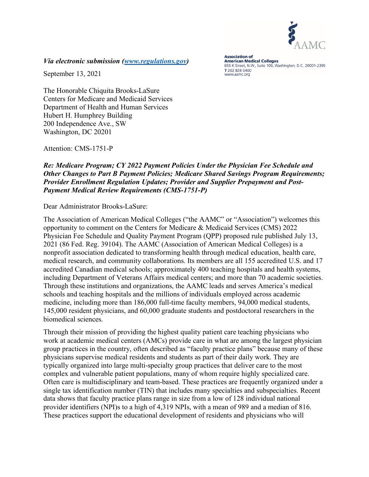

*Via electronic submission [\(www.regulations.gov\)](http://www.regulations.gov/)*

September 13, 2021

**Association of American Medical Colleges** 655 K Street, N.W., Suite 100, Washington, D.C. 20001-2399 T 202 828 0400 www.aamc.org

The Honorable Chiquita Brooks-LaSure Centers for Medicare and Medicaid Services Department of Health and Human Services Hubert H. Humphrey Building 200 Independence Ave., SW Washington, DC 20201

Attention: CMS-1751-P

*Re: Medicare Program; CY 2022 Payment Policies Under the Physician Fee Schedule and Other Changes to Part B Payment Policies; Medicare Shared Savings Program Requirements; Provider Enrollment Regulation Updates; Provider and Supplier Prepayment and Post-Payment Medical Review Requirements (CMS-1751-P)*

Dear Administrator Brooks-LaSure:

The Association of American Medical Colleges ("the AAMC" or "Association") welcomes this opportunity to comment on the Centers for Medicare & Medicaid Services (CMS) 2022 Physician Fee Schedule and Quality Payment Program (QPP) proposed rule published July 13, 2021 (86 Fed. Reg. 39104). The AAMC (Association of American Medical Colleges) is a nonprofit association dedicated to transforming health through medical education, health care, medical research, and community collaborations. Its members are all 155 accredited U.S. and 17 accredited Canadian medical schools; approximately 400 teaching hospitals and health systems, including Department of Veterans Affairs medical centers; and more than 70 academic societies. Through these institutions and organizations, the AAMC leads and serves America's medical schools and teaching hospitals and the millions of individuals employed across academic medicine, including more than 186,000 full-time faculty members, 94,000 medical students, 145,000 resident physicians, and 60,000 graduate students and postdoctoral researchers in the biomedical sciences.

Through their mission of providing the highest quality patient care teaching physicians who work at academic medical centers (AMCs) provide care in what are among the largest physician group practices in the country, often described as "faculty practice plans" because many of these physicians supervise medical residents and students as part of their daily work. They are typically organized into large multi-specialty group practices that deliver care to the most complex and vulnerable patient populations, many of whom require highly specialized care. Often care is multidisciplinary and team-based. These practices are frequently organized under a single tax identification number (TIN) that includes many specialties and subspecialties. Recent data shows that faculty practice plans range in size from a low of 128 individual national provider identifiers (NPI)s to a high of 4,319 NPIs, with a mean of 989 and a median of 816. These practices support the educational development of residents and physicians who will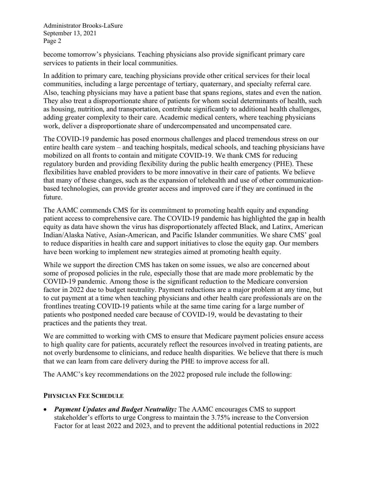become tomorrow's physicians. Teaching physicians also provide significant primary care services to patients in their local communities.

In addition to primary care, teaching physicians provide other critical services for their local communities, including a large percentage of tertiary, quaternary, and specialty referral care. Also, teaching physicians may have a patient base that spans regions, states and even the nation. They also treat a disproportionate share of patients for whom social determinants of health, such as housing, nutrition, and transportation, contribute significantly to additional health challenges, adding greater complexity to their care. Academic medical centers, where teaching physicians work, deliver a disproportionate share of undercompensated and uncompensated care.

The COVID-19 pandemic has posed enormous challenges and placed tremendous stress on our entire health care system – and teaching hospitals, medical schools, and teaching physicians have mobilized on all fronts to contain and mitigate COVID-19. We thank CMS for reducing regulatory burden and providing flexibility during the public health emergency (PHE). These flexibilities have enabled providers to be more innovative in their care of patients. We believe that many of these changes, such as the expansion of telehealth and use of other communicationbased technologies, can provide greater access and improved care if they are continued in the future.

The AAMC commends CMS for its commitment to promoting health equity and expanding patient access to comprehensive care. The COVID-19 pandemic has highlighted the gap in health equity as data have shown the virus has disproportionately affected Black, and Latinx, American Indian/Alaska Native, Asian-American, and Pacific Islander communities. We share CMS' goal to reduce disparities in health care and support initiatives to close the equity gap. Our members have been working to implement new strategies aimed at promoting health equity.

While we support the direction CMS has taken on some issues, we also are concerned about some of proposed policies in the rule, especially those that are made more problematic by the COVID-19 pandemic. Among those is the significant reduction to the Medicare conversion factor in 2022 due to budget neutrality. Payment reductions are a major problem at any time, but to cut payment at a time when teaching physicians and other health care professionals are on the frontlines treating COVID-19 patients while at the same time caring for a large number of patients who postponed needed care because of COVID-19, would be devastating to their practices and the patients they treat.

We are committed to working with CMS to ensure that Medicare payment policies ensure access to high quality care for patients, accurately reflect the resources involved in treating patients, are not overly burdensome to clinicians, and reduce health disparities. We believe that there is much that we can learn from care delivery during the PHE to improve access for all.

The AAMC's key recommendations on the 2022 proposed rule include the following:

## **PHYSICIAN FEE SCHEDULE**

• *Payment Updates and Budget Neutrality:* The AAMC encourages CMS to support stakeholder's efforts to urge Congress to maintain the 3.75% increase to the Conversion Factor for at least 2022 and 2023, and to prevent the additional potential reductions in 2022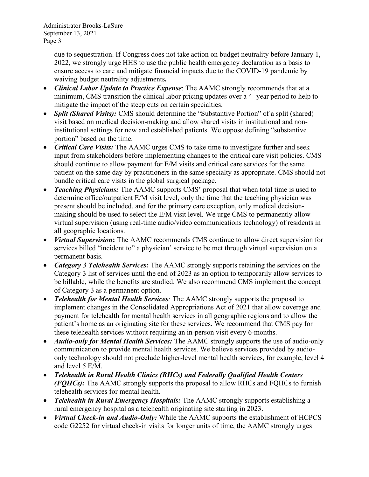> due to sequestration. If Congress does not take action on budget neutrality before January 1, 2022, we strongly urge HHS to use the public health emergency declaration as a basis to ensure access to care and mitigate financial impacts due to the COVID-19 pandemic by waiving budget neutrality adjustments**.**

- *Clinical Labor Update to Practice Expense*: The AAMC strongly recommends that at a minimum, CMS transition the clinical labor pricing updates over a 4- year period to help to mitigate the impact of the steep cuts on certain specialties.
- *Split (Shared Visits):* CMS should determine the "Substantive Portion" of a split (shared) visit based on medical decision-making and allow shared visits in institutional and noninstitutional settings for new and established patients. We oppose defining "substantive portion" based on the time.
- *Critical Care Visits:* The AAMC urges CMS to take time to investigate further and seek input from stakeholders before implementing changes to the critical care visit policies. CMS should continue to allow payment for E/M visits and critical care services for the same patient on the same day by practitioners in the same specialty as appropriate. CMS should not bundle critical care visits in the global surgical package.
- *Teaching Physicians:* The AAMC supports CMS' proposal that when total time is used to determine office/outpatient E/M visit level, only the time that the teaching physician was present should be included, and for the primary care exception, only medical decisionmaking should be used to select the E/M visit level. We urge CMS to permanently allow virtual supervision (using real-time audio/video communications technology) of residents in all geographic locations.
- *Virtual Supervision***:** The AAMC recommends CMS continue to allow direct supervision for services billed "incident to" a physician' service to be met through virtual supervision on a permanent basis.
- *Category 3 Telehealth Services:* The AAMC strongly supports retaining the services on the Category 3 list of services until the end of 2023 as an option to temporarily allow services to be billable, while the benefits are studied. We also recommend CMS implement the concept of Category 3 as a permanent option.
- *Telehealth for Mental Health Services:* The AAMC strongly supports the proposal to implement changes in the Consolidated Appropriations Act of 2021 that allow coverage and payment for telehealth for mental health services in all geographic regions and to allow the patient's home as an originating site for these services. We recommend that CMS pay for these telehealth services without requiring an in-person visit every 6-months.
- *Audio-only for Mental Health Services:* The AAMC strongly supports the use of audio-only communication to provide mental health services. We believe services provided by audioonly technology should not preclude higher-level mental health services, for example, level 4 and level 5 E/M.
- *Telehealth in Rural Health Clinics (RHCs) and Federally Qualified Health Centers (FQHCs):* The AAMC strongly supports the proposal to allow RHCs and FQHCs to furnish telehealth services for mental health.
- *Telehealth in Rural Emergency Hospitals:* The AAMC strongly supports establishing a rural emergency hospital as a telehealth originating site starting in 2023.
- *Virtual Check-in and Audio-Only:* While the AAMC supports the establishment of HCPCS code G2252 for virtual check-in visits for longer units of time, the AAMC strongly urges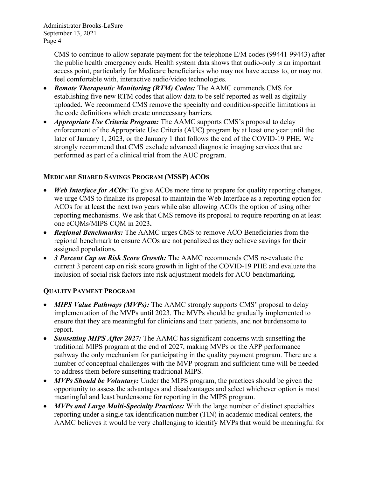> CMS to continue to allow separate payment for the telephone E/M codes (99441-99443) after the public health emergency ends. Health system data shows that audio-only is an important access point, particularly for Medicare beneficiaries who may not have access to, or may not feel comfortable with, interactive audio/video technologies.

- *Remote Therapeutic Monitoring (RTM) Codes:* The AAMC commends CMS for establishing five new RTM codes that allow data to be self-reported as well as digitally uploaded. We recommend CMS remove the specialty and condition-specific limitations in the code definitions which create unnecessary barriers.
- *Appropriate Use Criteria Program:* The AAMC supports CMS's proposal to delay enforcement of the Appropriate Use Criteria (AUC) program by at least one year until the later of January 1, 2023, or the January 1 that follows the end of the COVID-19 PHE. We strongly recommend that CMS exclude advanced diagnostic imaging services that are performed as part of a clinical trial from the AUC program.

# **MEDICARE SHARED SAVINGS PROGRAM (MSSP) ACOS**

- *Web Interface for ACOs*: To give ACOs more time to prepare for quality reporting changes, we urge CMS to finalize its proposal to maintain the Web Interface as a reporting option for ACOs for at least the next two years while also allowing ACOs the option of using other reporting mechanisms. We ask that CMS remove its proposal to require reporting on at least one eCQMs/MIPS CQM in 2023**.**
- *Regional Benchmarks:* The AAMC urges CMS to remove ACO Beneficiaries from the regional benchmark to ensure ACOs are not penalized as they achieve savings for their assigned populations*.*
- *3 Percent Cap on Risk Score Growth:* The AAMC recommends CMS re-evaluate the current 3 percent cap on risk score growth in light of the COVID-19 PHE and evaluate the inclusion of social risk factors into risk adjustment models for ACO benchmarking*.*

# **QUALITY PAYMENT PROGRAM**

- *MIPS Value Pathways (MVPs)*: The AAMC strongly supports CMS' proposal to delay implementation of the MVPs until 2023. The MVPs should be gradually implemented to ensure that they are meaningful for clinicians and their patients, and not burdensome to report.
- *Sunsetting MIPS After 2027:* The AAMC has significant concerns with sunsetting the traditional MIPS program at the end of 2027, making MVPs or the APP performance pathway the only mechanism for participating in the quality payment program. There are a number of conceptual challenges with the MVP program and sufficient time will be needed to address them before sunsetting traditional MIPS.
- *MVPs Should be Voluntary:* Under the MIPS program, the practices should be given the opportunity to assess the advantages and disadvantages and select whichever option is most meaningful and least burdensome for reporting in the MIPS program.
- *MVPs and Large Multi-Specialty Practices:* With the large number of distinct specialties reporting under a single tax identification number (TIN) in academic medical centers, the AAMC believes it would be very challenging to identify MVPs that would be meaningful for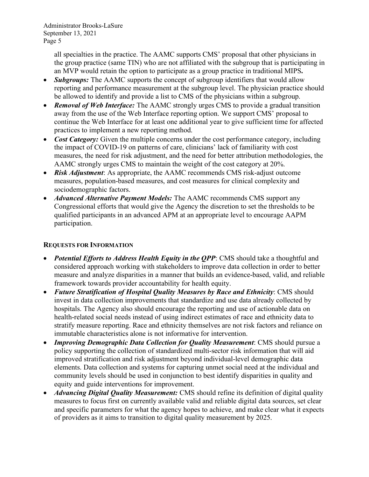> all specialties in the practice. The AAMC supports CMS' proposal that other physicians in the group practice (same TIN) who are not affiliated with the subgroup that is participating in an MVP would retain the option to participate as a group practice in traditional MIPS**.**

- *Subgroups:* The AAMC supports the concept of subgroup identifiers that would allow reporting and performance measurement at the subgroup level. The physician practice should be allowed to identify and provide a list to CMS of the physicians within a subgroup.
- *Removal of Web Interface:* The AAMC strongly urges CMS to provide a gradual transition away from the use of the Web Interface reporting option. We support CMS' proposal to continue the Web Interface for at least one additional year to give sufficient time for affected practices to implement a new reporting method.
- *Cost Category:* Given the multiple concerns under the cost performance category, including the impact of COVID-19 on patterns of care, clinicians' lack of familiarity with cost measures, the need for risk adjustment, and the need for better attribution methodologies, the AAMC strongly urges CMS to maintain the weight of the cost category at 20%.
- *Risk Adjustment*: As appropriate, the AAMC recommends CMS risk-adjust outcome measures, population-based measures, and cost measures for clinical complexity and sociodemographic factors.
- *Advanced Alternative Payment Models:* The AAMC recommends CMS support any Congressional efforts that would give the Agency the discretion to set the thresholds to be qualified participants in an advanced APM at an appropriate level to encourage AAPM participation.

## **REQUESTS FOR INFORMATION**

- *Potential Efforts to Address Health Equity in the QPP*: CMS should take a thoughtful and considered approach working with stakeholders to improve data collection in order to better measure and analyze disparities in a manner that builds an evidence-based, valid, and reliable framework towards provider accountability for health equity.
- *Future Stratification of Hospital Quality Measures by Race and Ethnicity*: CMS should invest in data collection improvements that standardize and use data already collected by hospitals. The Agency also should encourage the reporting and use of actionable data on health-related social needs instead of using indirect estimates of race and ethnicity data to stratify measure reporting. Race and ethnicity themselves are not risk factors and reliance on immutable characteristics alone is not informative for intervention.
- *Improving Demographic Data Collection for Quality Measurement*: CMS should pursue a policy supporting the collection of standardized multi-sector risk information that will aid improved stratification and risk adjustment beyond individual-level demographic data elements. Data collection and systems for capturing unmet social need at the individual and community levels should be used in conjunction to best identify disparities in quality and equity and guide interventions for improvement.
- *Advancing Digital Quality Measurement:* CMS should refine its definition of digital quality measures to focus first on currently available valid and reliable digital data sources, set clear and specific parameters for what the agency hopes to achieve, and make clear what it expects of providers as it aims to transition to digital quality measurement by 2025.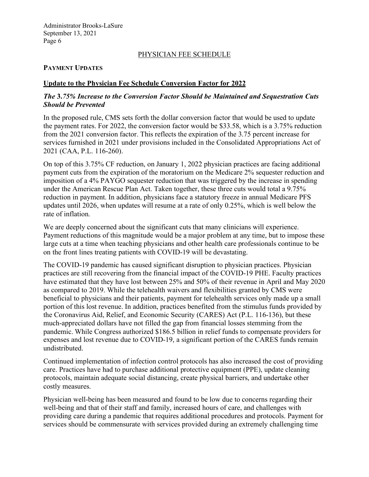#### PHYSICIAN FEE SCHEDULE

#### **PAYMENT UPDATES**

#### **Update to the Physician Fee Schedule Conversion Factor for 2022**

#### *The* **3.***75% Increase to the Conversion Factor Should be Maintained and Sequestration Cuts Should be Prevented*

In the proposed rule, CMS sets forth the dollar conversion factor that would be used to update the payment rates. For 2022, the conversion factor would be \$33.58, which is a 3.75% reduction from the 2021 conversion factor. This reflects the expiration of the 3.75 percent increase for services furnished in 2021 under provisions included in the Consolidated Appropriations Act of 2021 (CAA, P.L. 116-260).

On top of this 3.75% CF reduction, on January 1, 2022 physician practices are facing additional payment cuts from the expiration of the moratorium on the Medicare 2% sequester reduction and imposition of a 4% PAYGO sequester reduction that was triggered by the increase in spending under the American Rescue Plan Act. Taken together, these three cuts would total a 9.75% reduction in payment. In addition, physicians face a statutory freeze in annual Medicare PFS updates until 2026, when updates will resume at a rate of only 0.25%, which is well below the rate of inflation.

We are deeply concerned about the significant cuts that many clinicians will experience. Payment reductions of this magnitude would be a major problem at any time, but to impose these large cuts at a time when teaching physicians and other health care professionals continue to be on the front lines treating patients with COVID-19 will be devastating.

The COVID-19 pandemic has caused significant disruption to physician practices. Physician practices are still recovering from the financial impact of the COVID-19 PHE. Faculty practices have estimated that they have lost between 25% and 50% of their revenue in April and May 2020 as compared to 2019. While the telehealth waivers and flexibilities granted by CMS were beneficial to physicians and their patients, payment for telehealth services only made up a small portion of this lost revenue. In addition, practices benefited from the stimulus funds provided by the Coronavirus Aid, Relief, and Economic Security (CARES) Act (P.L. 116-136), but these much-appreciated dollars have not filled the gap from financial losses stemming from the pandemic. While Congress authorized \$186.5 billion in relief funds to compensate providers for expenses and lost revenue due to COVID-19, a significant portion of the CARES funds remain undistributed.

Continued implementation of infection control protocols has also increased the cost of providing care. Practices have had to purchase additional protective equipment (PPE), update cleaning protocols, maintain adequate social distancing, create physical barriers, and undertake other costly measures.

Physician well-being has been measured and found to be low due to concerns regarding their well-being and that of their staff and family, increased hours of care, and challenges with providing care during a pandemic that requires additional procedures and protocols. Payment for services should be commensurate with services provided during an extremely challenging time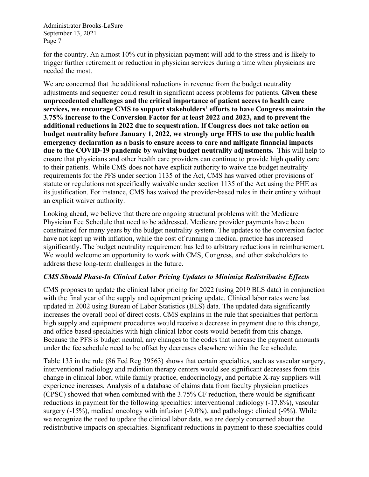for the country. An almost 10% cut in physician payment will add to the stress and is likely to trigger further retirement or reduction in physician services during a time when physicians are needed the most.

We are concerned that the additional reductions in revenue from the budget neutrality adjustments and sequester could result in significant access problems for patients. **Given these unprecedented challenges and the critical importance of patient access to health care services, we encourage CMS to support stakeholders' efforts to have Congress maintain the 3.75% increase to the Conversion Factor for at least 2022 and 2023, and to prevent the additional reductions in 2022 due to sequestration. If Congress does not take action on budget neutrality before January 1, 2022, we strongly urge HHS to use the public health emergency declaration as a basis to ensure access to care and mitigate financial impacts due to the COVID-19 pandemic by waiving budget neutrality adjustments.** This will help to ensure that physicians and other health care providers can continue to provide high quality care to their patients. While CMS does not have explicit authority to waive the budget neutrality requirements for the PFS under section 1135 of the Act, CMS has waived other provisions of statute or regulations not specifically waivable under section 1135 of the Act using the PHE as its justification. For instance, CMS has waived the provider-based rules in their entirety without an explicit waiver authority.

Looking ahead, we believe that there are ongoing structural problems with the Medicare Physician Fee Schedule that need to be addressed. Medicare provider payments have been constrained for many years by the budget neutrality system. The updates to the conversion factor have not kept up with inflation, while the cost of running a medical practice has increased significantly. The budget neutrality requirement has led to arbitrary reductions in reimbursement. We would welcome an opportunity to work with CMS, Congress, and other stakeholders to address these long-term challenges in the future.

## *CMS Should Phase-In Clinical Labor Pricing Updates to Minimize Redistributive Effects*

CMS proposes to update the clinical labor pricing for 2022 (using 2019 BLS data) in conjunction with the final year of the supply and equipment pricing update. Clinical labor rates were last updated in 2002 using Bureau of Labor Statistics (BLS) data. The updated data significantly increases the overall pool of direct costs. CMS explains in the rule that specialties that perform high supply and equipment procedures would receive a decrease in payment due to this change, and office-based specialties with high clinical labor costs would benefit from this change. Because the PFS is budget neutral, any changes to the codes that increase the payment amounts under the fee schedule need to be offset by decreases elsewhere within the fee schedule.

Table 135 in the rule (86 Fed Reg 39563) shows that certain specialties, such as vascular surgery, interventional radiology and radiation therapy centers would see significant decreases from this change in clinical labor, while family practice, endocrinology, and portable X-ray suppliers will experience increases. Analysis of a database of claims data from faculty physician practices (CPSC) showed that when combined with the 3.75% CF reduction, there would be significant reductions in payment for the following specialties: interventional radiology (-17.8%), vascular surgery (-15%), medical oncology with infusion (-9.0%), and pathology: clinical (-9%). While we recognize the need to update the clinical labor data, we are deeply concerned about the redistributive impacts on specialties. Significant reductions in payment to these specialties could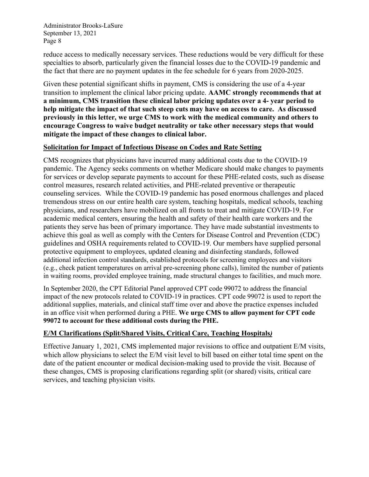reduce access to medically necessary services. These reductions would be very difficult for these specialties to absorb, particularly given the financial losses due to the COVID-19 pandemic and the fact that there are no payment updates in the fee schedule for 6 years from 2020-2025.

Given these potential significant shifts in payment, CMS is considering the use of a 4-year transition to implement the clinical labor pricing update. **AAMC strongly recommends that at a minimum, CMS transition these clinical labor pricing updates over a 4- year period to help mitigate the impact of that such steep cuts may have on access to care. As discussed previously in this letter, we urge CMS to work with the medical community and others to encourage Congress to waive budget neutrality or take other necessary steps that would mitigate the impact of these changes to clinical labor.** 

# **Solicitation for Impact of Infectious Disease on Codes and Rate Setting**

CMS recognizes that physicians have incurred many additional costs due to the COVID-19 pandemic. The Agency seeks comments on whether Medicare should make changes to payments for services or develop separate payments to account for these PHE-related costs, such as disease control measures, research related activities, and PHE-related preventive or therapeutic counseling services. While the COVID-19 pandemic has posed enormous challenges and placed tremendous stress on our entire health care system, teaching hospitals, medical schools, teaching physicians, and researchers have mobilized on all fronts to treat and mitigate COVID-19. For academic medical centers, ensuring the health and safety of their health care workers and the patients they serve has been of primary importance. They have made substantial investments to achieve this goal as well as comply with the Centers for Disease Control and Prevention (CDC) guidelines and OSHA requirements related to COVID-19. Our members have supplied personal protective equipment to employees, updated cleaning and disinfecting standards, followed additional infection control standards, established protocols for screening employees and visitors (e.g., check patient temperatures on arrival pre-screening phone calls), limited the number of patients in waiting rooms, provided employee training, made structural changes to facilities, and much more.

In September 2020, the CPT Editorial Panel approved CPT code 99072 to address the financial impact of the new protocols related to COVID-19 in practices. CPT code 99072 is used to report the additional supplies, materials, and clinical staff time over and above the practice expenses included in an office visit when performed during a PHE. **We urge CMS to allow payment for CPT code 99072 to account for these additional costs during the PHE.** 

## **E/M Clarifications (Split/Shared Visits, Critical Care, Teaching Hospitals***)*

Effective January 1, 2021, CMS implemented major revisions to office and outpatient E/M visits, which allow physicians to select the E/M visit level to bill based on either total time spent on the date of the patient encounter or medical decision-making used to provide the visit. Because of these changes, CMS is proposing clarifications regarding split (or shared) visits, critical care services, and teaching physician visits.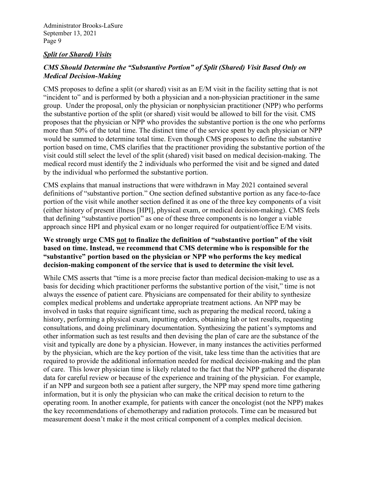#### *Split (or Shared) Visits*

## *CMS Should Determine the "Substantive Portion" of Split (Shared) Visit Based Only on Medical Decision-Making*

CMS proposes to define a split (or shared) visit as an E/M visit in the facility setting that is not "incident to" and is performed by both a physician and a non-physician practitioner in the same group. Under the proposal, only the physician or nonphysician practitioner (NPP) who performs the substantive portion of the split (or shared) visit would be allowed to bill for the visit. CMS proposes that the physician or NPP who provides the substantive portion is the one who performs more than 50% of the total time. The distinct time of the service spent by each physician or NPP would be summed to determine total time. Even though CMS proposes to define the substantive portion based on time, CMS clarifies that the practitioner providing the substantive portion of the visit could still select the level of the split (shared) visit based on medical decision-making. The medical record must identify the 2 individuals who performed the visit and be signed and dated by the individual who performed the substantive portion.

CMS explains that manual instructions that were withdrawn in May 2021 contained several definitions of "substantive portion." One section defined substantive portion as any face-to-face portion of the visit while another section defined it as one of the three key components of a visit (either history of present illness [HPI], physical exam, or medical decision-making). CMS feels that defining "substantive portion" as one of these three components is no longer a viable approach since HPI and physical exam or no longer required for outpatient/office E/M visits.

## **We strongly urge CMS not to finalize the definition of "substantive portion" of the visit based on time. Instead, we recommend that CMS determine who is responsible for the "substantive" portion based on the physician or NPP who performs the key medical decision-making component of the service that is used to determine the visit level.**

While CMS asserts that "time is a more precise factor than medical decision-making to use as a basis for deciding which practitioner performs the substantive portion of the visit," time is not always the essence of patient care. Physicians are compensated for their ability to synthesize complex medical problems and undertake appropriate treatment actions. An NPP may be involved in tasks that require significant time, such as preparing the medical record, taking a history, performing a physical exam, inputting orders, obtaining lab or test results, requesting consultations, and doing preliminary documentation. Synthesizing the patient's symptoms and other information such as test results and then devising the plan of care are the substance of the visit and typically are done by a physician. However, in many instances the activities performed by the physician, which are the key portion of the visit, take less time than the activities that are required to provide the additional information needed for medical decision-making and the plan of care. This lower physician time is likely related to the fact that the NPP gathered the disparate data for careful review or because of the experience and training of the physician. For example, if an NPP and surgeon both see a patient after surgery, the NPP may spend more time gathering information, but it is only the physician who can make the critical decision to return to the operating room. In another example, for patients with cancer the oncologist (not the NPP) makes the key recommendations of chemotherapy and radiation protocols. Time can be measured but measurement doesn't make it the most critical component of a complex medical decision.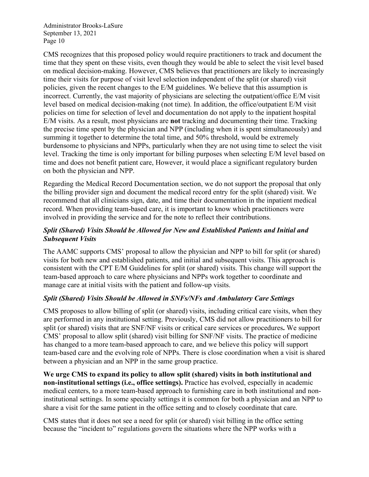CMS recognizes that this proposed policy would require practitioners to track and document the time that they spent on these visits, even though they would be able to select the visit level based on medical decision-making. However, CMS believes that practitioners are likely to increasingly time their visits for purpose of visit level selection independent of the split (or shared) visit policies, given the recent changes to the E/M guidelines. We believe that this assumption is incorrect. Currently, the vast majority of physicians are selecting the outpatient/office E/M visit level based on medical decision-making (not time). In addition, the office/outpatient E/M visit policies on time for selection of level and documentation do not apply to the inpatient hospital E/M visits. As a result, most physicians are **not** tracking and documenting their time. Tracking the precise time spent by the physician and NPP (including when it is spent simultaneously) and summing it together to determine the total time, and 50% threshold, would be extremely burdensome to physicians and NPPs, particularly when they are not using time to select the visit level. Tracking the time is only important for billing purposes when selecting E/M level based on time and does not benefit patient care, However, it would place a significant regulatory burden on both the physician and NPP.

Regarding the Medical Record Documentation section, we do not support the proposal that only the billing provider sign and document the medical record entry for the split (shared) visit. We recommend that all clinicians sign, date, and time their documentation in the inpatient medical record. When providing team-based care, it is important to know which practitioners were involved in providing the service and for the note to reflect their contributions.

# *Split (Shared) Visits Should be Allowed for New and Established Patients and Initial and Subsequent Visits*

The AAMC supports CMS' proposal to allow the physician and NPP to bill for split (or shared) visits for both new and established patients, and initial and subsequent visits. This approach is consistent with the CPT E/M Guidelines for split (or shared) visits. This change will support the team-based approach to care where physicians and NPPs work together to coordinate and manage care at initial visits with the patient and follow-up visits.

## *Split (Shared) Visits Should be Allowed in SNFs/NFs and Ambulatory Care Settings*

CMS proposes to allow billing of split (or shared) visits, including critical care visits, when they are performed in any institutional setting. Previously, CMS did not allow practitioners to bill for split (or shared) visits that are SNF/NF visits or critical care services or procedures**.** We support CMS' proposal to allow split (shared) visit billing for SNF/NF visits. The practice of medicine has changed to a more team-based approach to care, and we believe this policy will support team-based care and the evolving role of NPPs. There is close coordination when a visit is shared between a physician and an NPP in the same group practice.

**We urge CMS to expand its policy to allow split (shared) visits in both institutional and non-institutional settings (i.e., office settings).** Practice has evolved, especially in academic medical centers, to a more team-based approach to furnishing care in both institutional and noninstitutional settings. In some specialty settings it is common for both a physician and an NPP to share a visit for the same patient in the office setting and to closely coordinate that care.

CMS states that it does not see a need for split (or shared) visit billing in the office setting because the "incident to" regulations govern the situations where the NPP works with a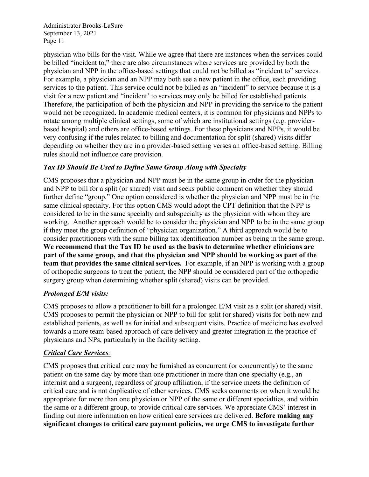physician who bills for the visit. While we agree that there are instances when the services could be billed "incident to," there are also circumstances where services are provided by both the physician and NPP in the office-based settings that could not be billed as "incident to" services. For example, a physician and an NPP may both see a new patient in the office, each providing services to the patient. This service could not be billed as an "incident" to service because it is a visit for a new patient and "incident' to services may only be billed for established patients. Therefore, the participation of both the physician and NPP in providing the service to the patient would not be recognized. In academic medical centers, it is common for physicians and NPPs to rotate among multiple clinical settings, some of which are institutional settings (e.g. providerbased hospital) and others are office-based settings. For these physicians and NPPs, it would be very confusing if the rules related to billing and documentation for split (shared) visits differ depending on whether they are in a provider-based setting verses an office-based setting. Billing rules should not influence care provision.

# *Tax ID Should Be Used to Define Same Group Along with Specialty*

CMS proposes that a physician and NPP must be in the same group in order for the physician and NPP to bill for a split (or shared) visit and seeks public comment on whether they should further define "group." One option considered is whether the physician and NPP must be in the same clinical specialty. For this option CMS would adopt the CPT definition that the NPP is considered to be in the same specialty and subspecialty as the physician with whom they are working. Another approach would be to consider the physician and NPP to be in the same group if they meet the group definition of "physician organization." A third approach would be to consider practitioners with the same billing tax identification number as being in the same group. **We recommend that the Tax ID be used as the basis to determine whether clinicians are part of the same group, and that the physician and NPP should be working as part of the team that provides the same clinical services.** For example, if an NPP is working with a group of orthopedic surgeons to treat the patient, the NPP should be considered part of the orthopedic surgery group when determining whether split (shared) visits can be provided.

## *Prolonged E/M visits:*

CMS proposes to allow a practitioner to bill for a prolonged E/M visit as a split (or shared) visit. CMS proposes to permit the physician or NPP to bill for split (or shared) visits for both new and established patients, as well as for initial and subsequent visits. Practice of medicine has evolved towards a more team-based approach of care delivery and greater integration in the practice of physicians and NPs, particularly in the facility setting.

## *Critical Care Services:*

CMS proposes that critical care may be furnished as concurrent (or concurrently) to the same patient on the same day by more than one practitioner in more than one specialty (e.g., an internist and a surgeon), regardless of group affiliation, if the service meets the definition of critical care and is not duplicative of other services. CMS seeks comments on when it would be appropriate for more than one physician or NPP of the same or different specialties, and within the same or a different group, to provide critical care services. We appreciate CMS' interest in finding out more information on how critical care services are delivered. **Before making any significant changes to critical care payment policies, we urge CMS to investigate further**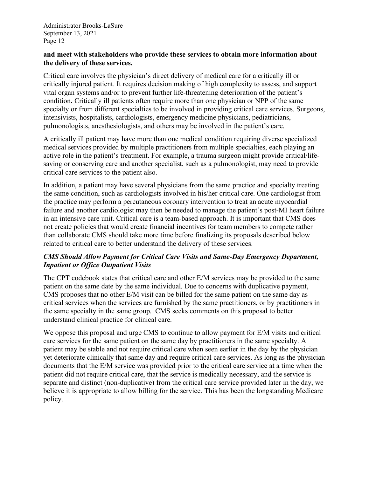#### **and meet with stakeholders who provide these services to obtain more information about the delivery of these services.**

Critical care involves the physician's direct delivery of medical care for a critically ill or critically injured patient. It requires decision making of high complexity to assess, and support vital organ systems and/or to prevent further life-threatening deterioration of the patient's condition**.** Critically ill patients often require more than one physician or NPP of the same specialty or from different specialties to be involved in providing critical care services. Surgeons, intensivists, hospitalists, cardiologists, emergency medicine physicians, pediatricians, pulmonologists, anesthesiologists, and others may be involved in the patient's care.

A critically ill patient may have more than one medical condition requiring diverse specialized medical services provided by multiple practitioners from multiple specialties, each playing an active role in the patient's treatment. For example, a trauma surgeon might provide critical/lifesaving or conserving care and another specialist, such as a pulmonologist, may need to provide critical care services to the patient also.

In addition, a patient may have several physicians from the same practice and specialty treating the same condition, such as cardiologists involved in his/her critical care. One cardiologist from the practice may perform a percutaneous coronary intervention to treat an acute myocardial failure and another cardiologist may then be needed to manage the patient's post-MI heart failure in an intensive care unit. Critical care is a team-based approach. It is important that CMS does not create policies that would create financial incentives for team members to compete rather than collaborate CMS should take more time before finalizing its proposals described below related to critical care to better understand the delivery of these services.

# *CMS Should Allow Payment for Critical Care Visits and Same-Day Emergency Department, Inpatient or Office Outpatient Visits*

The CPT codebook states that critical care and other E/M services may be provided to the same patient on the same date by the same individual. Due to concerns with duplicative payment, CMS proposes that no other E/M visit can be billed for the same patient on the same day as critical services when the services are furnished by the same practitioners, or by practitioners in the same specialty in the same group. CMS seeks comments on this proposal to better understand clinical practice for clinical care.

We oppose this proposal and urge CMS to continue to allow payment for E/M visits and critical care services for the same patient on the same day by practitioners in the same specialty. A patient may be stable and not require critical care when seen earlier in the day by the physician yet deteriorate clinically that same day and require critical care services. As long as the physician documents that the E/M service was provided prior to the critical care service at a time when the patient did not require critical care, that the service is medically necessary, and the service is separate and distinct (non-duplicative) from the critical care service provided later in the day, we believe it is appropriate to allow billing for the service. This has been the longstanding Medicare policy.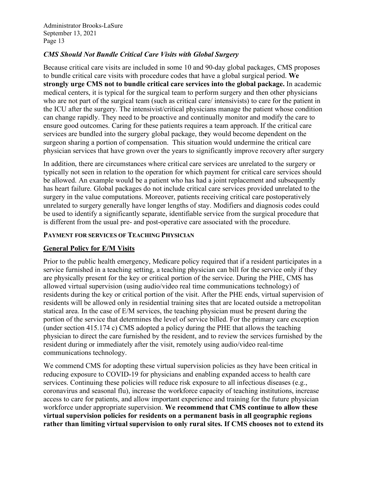## *CMS Should Not Bundle Critical Care Visits with Global Surgery*

Because critical care visits are included in some 10 and 90-day global packages, CMS proposes to bundle critical care visits with procedure codes that have a global surgical period. **We strongly urge CMS not to bundle critical care services into the global package.** In academic medical centers, it is typical for the surgical team to perform surgery and then other physicians who are not part of the surgical team (such as critical care/ intensivists) to care for the patient in the ICU after the surgery. The intensivist/critical physicians manage the patient whose condition can change rapidly. They need to be proactive and continually monitor and modify the care to ensure good outcomes. Caring for these patients requires a team approach. If the critical care services are bundled into the surgery global package, th**e**y would become dependent on the surgeon sharing a portion of compensation. This situation would undermine the critical care physician services that have grown over the years to significantly improve recovery after surgery

In addition, there are circumstances where critical care services are unrelated to the surgery or typically not seen in relation to the operation for which payment for critical care services should be allowed. An example would be a patient who has had a joint replacement and subsequently has heart failure. Global packages do not include critical care services provided unrelated to the surgery in the value computations. Moreover, patients receiving critical care postoperatively unrelated to surgery generally have longer lengths of stay. Modifiers and diagnosis codes could be used to identify a significantly separate, identifiable service from the surgical procedure that is different from the usual pre- and post-operative care associated with the procedure.

#### **PAYMENT FOR SERVICES OF TEACHING PHYSICIAN**

## **General Policy for E/M Visits**

Prior to the public health emergency, Medicare policy required that if a resident participates in a service furnished in a teaching setting, a teaching physician can bill for the service only if they are physically present for the key or critical portion of the service. During the PHE, CMS has allowed virtual supervision (using audio/video real time communications technology) of residents during the key or critical portion of the visit. After the PHE ends, virtual supervision of residents will be allowed only in residential training sites that are located outside a metropolitan statical area. In the case of E/M services, the teaching physician must be present during the portion of the service that determines the level of service billed. For the primary care exception (under section 415.174 c) CMS adopted a policy during the PHE that allows the teaching physician to direct the care furnished by the resident, and to review the services furnished by the resident during or immediately after the visit, remotely using audio/video real-time communications technology.

We commend CMS for adopting these virtual supervision policies as they have been critical in reducing exposure to COVID-19 for physicians and enabling expanded access to health care services. Continuing these policies will reduce risk exposure to all infectious diseases (e.g., coronavirus and seasonal flu), increase the workforce capacity of teaching institutions, increase access to care for patients, and allow important experience and training for the future physician workforce under appropriate supervision. **We recommend that CMS continue to allow these virtual supervision policies for residents on a permanent basis in all geographic regions rather than limiting virtual supervision to only rural sites. If CMS chooses not to extend its**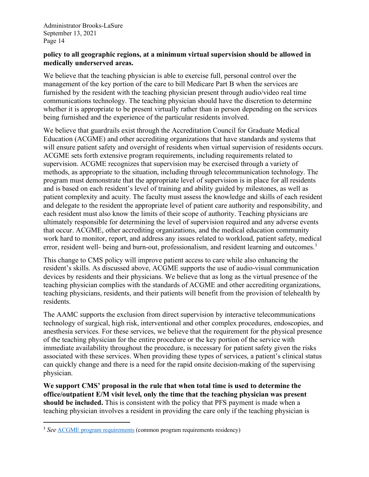#### **policy to all geographic regions, at a minimum virtual supervision should be allowed in medically underserved areas.**

We believe that the teaching physician is able to exercise full, personal control over the management of the key portion of the care to bill Medicare Part B when the services are furnished by the resident with the teaching physician present through audio/video real time communications technology. The teaching physician should have the discretion to determine whether it is appropriate to be present virtually rather than in person depending on the services being furnished and the experience of the particular residents involved.

We believe that guardrails exist through the Accreditation Council for Graduate Medical Education (ACGME) and other accrediting organizations that have standards and systems that will ensure patient safety and oversight of residents when virtual supervision of residents occurs. ACGME sets forth extensive program requirements, including requirements related to supervision. ACGME recognizes that supervision may be exercised through a variety of methods, as appropriate to the situation, including through telecommunication technology. The program must demonstrate that the appropriate level of supervision is in place for all residents and is based on each resident's level of training and ability guided by milestones, as well as patient complexity and acuity. The faculty must assess the knowledge and skills of each resident and delegate to the resident the appropriate level of patient care authority and responsibility, and each resident must also know the limits of their scope of authority. Teaching physicians are ultimately responsible for determining the level of supervision required and any adverse events that occur. ACGME, other accrediting organizations, and the medical education community work hard to monitor, report, and address any issues related to workload, patient safety, medical error, resident well- being and burn-out, professionalism, and resident learning and outcomes.<sup>[1](#page-13-0)</sup>

This change to CMS policy will improve patient access to care while also enhancing the resident's skills. As discussed above, ACGME supports the use of audio-visual communication devices by residents and their physicians. We believe that as long as the virtual presence of the teaching physician complies with the standards of ACGME and other accrediting organizations, teaching physicians, residents, and their patients will benefit from the provision of telehealth by residents.

The AAMC supports the exclusion from direct supervision by interactive telecommunications technology of surgical, high risk, interventional and other complex procedures, endoscopies, and anesthesia services. For these services, we believe that the requirement for the physical presence of the teaching physician for the entire procedure or the key portion of the service with immediate availability throughout the procedure, is necessary for patient safety given the risks associated with these services. When providing these types of services, a patient's clinical status can quickly change and there is a need for the rapid onsite decision-making of the supervising physician.

**We support CMS' proposal in the rule that when total time is used to determine the office/outpatient E/M visit level, only the time that the teaching physician was present should be included.** This is consistent with the policy that PFS payment is made when a teaching physician involves a resident in providing the care only if the teaching physician is

<span id="page-13-0"></span><sup>&</sup>lt;sup>1</sup> *See* [ACGME program requirements](https://www.acgme.org/Portals/0/PFAssets/ProgramRequirements/CPRResidency2020.pdf) (common program requirements residency)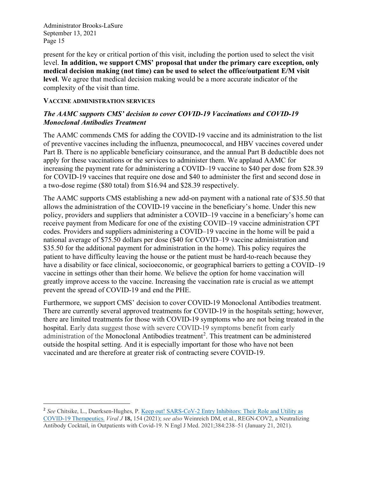present for the key or critical portion of this visit, including the portion used to select the visit level. **In addition, we support CMS' proposal that under the primary care exception, only medical decision making (not time) can be used to select the office/outpatient E/M visit level**. We agree that medical decision making would be a more accurate indicator of the complexity of the visit than time.

#### **VACCINE ADMINISTRATION SERVICES**

#### *The AAMC supports CMS' decision to cover COVID-19 Vaccinations and COVID-19 Monoclonal Antibodies Treatment*

The AAMC commends CMS for adding the COVID-19 vaccine and its administration to the list of preventive vaccines including the influenza, pneumococcal, and HBV vaccines covered under Part B. There is no applicable beneficiary coinsurance, and the annual Part B deductible does not apply for these vaccinations or the services to administer them. We applaud AAMC for increasing the payment rate for administering a COVID–19 vaccine to \$40 per dose from \$28.39 for COVID-19 vaccines that require one dose and \$40 to administer the first and second dose in a two-dose regime (\$80 total) from \$16.94 and \$28.39 respectively.

The AAMC supports CMS establishing a new add-on payment with a national rate of \$35.50 that allows the administration of the COVID-19 vaccine in the beneficiary's home. Under this new policy, providers and suppliers that administer a COVID–19 vaccine in a beneficiary's home can receive payment from Medicare for one of the existing COVID–19 vaccine administration CPT codes. Providers and suppliers administering a COVID–19 vaccine in the home will be paid a national average of \$75.50 dollars per dose (\$40 for COVID–19 vaccine administration and \$35.50 for the additional payment for administration in the home). This policy requires the patient to have difficulty leaving the house or the patient must be hard-to-reach because they have a disability or face clinical, socioeconomic, or geographical barriers to getting a COVID–19 vaccine in settings other than their home. We believe the option for home vaccination will greatly improve access to the vaccine. Increasing the vaccination rate is crucial as we attempt prevent the spread of COVID-19 and end the PHE.

Furthermore, we support CMS' decision to cover COVID-19 Monoclonal Antibodies treatment. There are currently several approved treatments for COVID-19 in the hospitals setting; however, there are limited treatments for those with COVID-19 symptoms who are not being treated in the hospital. Early data suggest those with severe COVID-19 symptoms benefit from early administration of the Monoclonal Antibodies treatment<sup>[2](#page-14-0)</sup>. This treatment can be administered outside the hospital setting. And it is especially important for those who have not been vaccinated and are therefore at greater risk of contracting severe COVID-19.

<span id="page-14-0"></span><sup>&</sup>lt;sup>2</sup> See Chitsike, L., Duerksen-Hughes, P. Keep out! SARS-CoV-2 Entry Inhibitors: Their Role and Utility as [COVID-19 Therapeutics.](https://doi.org/10.1186/s12985-021-01624-x) *Viral J* **18,** 154 (2021); *see also* Weinreich DM, et al., REGN-COV2, a Neutralizing Antibody Cocktail, in Outpatients with Covid-19. N Engl J Med. 2021;384:238–51 (January 21, 2021).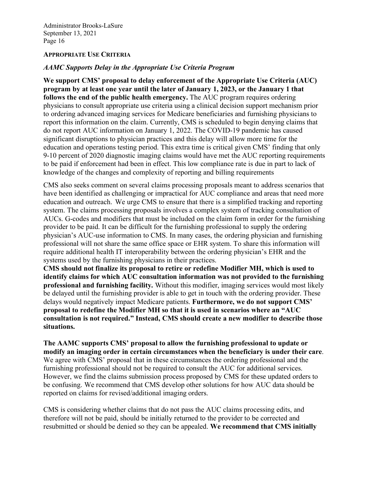#### **APPROPRIATE USE CRITERIA**

#### *AAMC Supports Delay in the Appropriate Use Criteria Program*

**We support CMS' proposal to delay enforcement of the Appropriate Use Criteria (AUC) program by at least one year until the later of January 1, 2023, or the January 1 that follows the end of the public health emergency.** The AUC program requires ordering physicians to consult appropriate use criteria using a clinical decision support mechanism prior to ordering advanced imaging services for Medicare beneficiaries and furnishing physicians to report this information on the claim. Currently, CMS is scheduled to begin denying claims that do not report AUC information on January 1, 2022. The COVID-19 pandemic has caused significant disruptions to physician practices and this delay will allow more time for the education and operations testing period. This extra time is critical given CMS' finding that only 9-10 percent of 2020 diagnostic imaging claims would have met the AUC reporting requirements to be paid if enforcement had been in effect. This low compliance rate is due in part to lack of knowledge of the changes and complexity of reporting and billing requirements

CMS also seeks comment on several claims processing proposals meant to address scenarios that have been identified as challenging or impractical for AUC compliance and areas that need more education and outreach.We urge CMS to ensure that there is a simplified tracking and reporting system. The claims processing proposals involves a complex system of tracking consultation of AUCs. G-codes and modifiers that must be included on the claim form in order for the furnishing provider to be paid. It can be difficult for the furnishing professional to supply the ordering physician's AUC-use information to CMS. In many cases, the ordering physician and furnishing professional will not share the same office space or EHR system. To share this information will require additional health IT interoperability between the ordering physician's EHR and the systems used by the furnishing physicians in their practices.

**CMS should not finalize its proposal to retire or redefine Modifier MH, which is used to identify claims for which AUC consultation information was not provided to the furnishing professional and furnishing facility.** Without this modifier, imaging services would most likely be delayed until the furnishing provider is able to get in touch with the ordering provider. These delays would negatively impact Medicare patients. **Furthermore, we do not support CMS' proposal to redefine the Modifier MH so that it is used in scenarios where an "AUC consultation is not required." Instead, CMS should create a new modifier to describe those situations.**

**The AAMC supports CMS' proposal to allow the furnishing professional to update or modify an imaging order in certain circumstances when the beneficiary is under their care**. We agree with CMS' proposal that in these circumstances the ordering professional and the furnishing professional should not be required to consult the AUC for additional services. However, we find the claims submission process proposed by CMS for these updated orders to be confusing. We recommend that CMS develop other solutions for how AUC data should be reported on claims for revised/additional imaging orders.

CMS is considering whether claims that do not pass the AUC claims processing edits, and therefore will not be paid, should be initially returned to the provider to be corrected and resubmitted or should be denied so they can be appealed. **We recommend that CMS initially**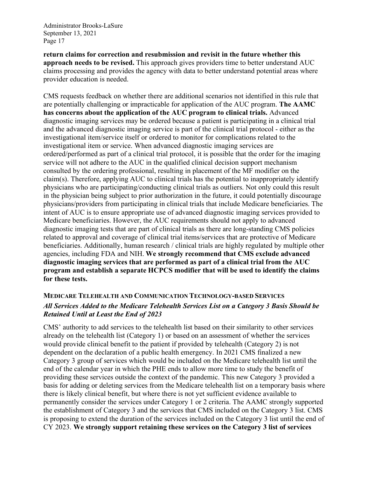**return claims for correction and resubmission and revisit in the future whether this approach needs to be revised.** This approach gives providers time to better understand AUC claims processing and provides the agency with data to better understand potential areas where provider education is needed.

CMS requests feedback on whether there are additional scenarios not identified in this rule that are potentially challenging or impracticable for application of the AUC program. **The AAMC has concerns about the application of the AUC program to clinical trials.** Advanced diagnostic imaging services may be ordered because a patient is participating in a clinical trial and the advanced diagnostic imaging service is part of the clinical trial protocol - either as the investigational item/service itself or ordered to monitor for complications related to the investigational item or service. When advanced diagnostic imaging services are ordered/performed as part of a clinical trial protocol, it is possible that the order for the imaging service will not adhere to the AUC in the qualified clinical decision support mechanism consulted by the ordering professional, resulting in placement of the MF modifier on the claim(s). Therefore, applying AUC to clinical trials has the potential to inappropriately identify physicians who are participating/conducting clinical trials as outliers. Not only could this result in the physician being subject to prior authorization in the future, it could potentially discourage physicians/providers from participating in clinical trials that include Medicare beneficiaries. The intent of AUC is to ensure appropriate use of advanced diagnostic imaging services provided to Medicare beneficiaries. However, the AUC requirements should not apply to advanced diagnostic imaging tests that are part of clinical trials as there are long-standing CMS policies related to approval and coverage of clinical trial items/services that are protective of Medicare beneficiaries. Additionally, human research / clinical trials are highly regulated by multiple other agencies, including FDA and NIH. **We strongly recommend that CMS exclude advanced diagnostic imaging services that are performed as part of a clinical trial from the AUC program and establish a separate HCPCS modifier that will be used to identify the claims for these tests.**

# **MEDICARE TELEHEALTH AND COMMUNICATION TECHNOLOGY-BASED SERVICES** *All Services Added to the Medicare Telehealth Services List on a Category 3 Basis Should be Retained Until at Least the End of 2023*

CMS' authority to add services to the telehealth list based on their similarity to other services already on the telehealth list (Category 1) or based on an assessment of whether the services would provide clinical benefit to the patient if provided by telehealth (Category 2) is not dependent on the declaration of a public health emergency. In 2021 CMS finalized a new Category 3 group of services which would be included on the Medicare telehealth list until the end of the calendar year in which the PHE ends to allow more time to study the benefit of providing these services outside the context of the pandemic. This new Category 3 provided a basis for adding or deleting services from the Medicare telehealth list on a temporary basis where there is likely clinical benefit, but where there is not yet sufficient evidence available to permanently consider the services under Category 1 or 2 criteria. The AAMC strongly supported the establishment of Category 3 and the services that CMS included on the Category 3 list. CMS is proposing to extend the duration of the services included on the Category 3 list until the end of CY 2023. **We strongly support retaining these services on the Category 3 list of services**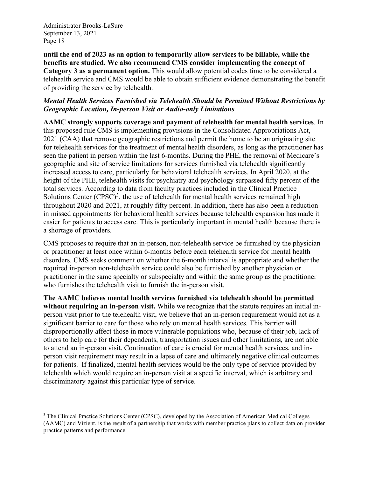**until the end of 2023 as an option to temporarily allow services to be billable, while the benefits are studied. We also recommend CMS consider implementing the concept of Category 3 as a permanent option.** This would allow potential codes time to be considered a telehealth service and CMS would be able to obtain sufficient evidence demonstrating the benefit of providing the service by telehealth.

## *Mental Health Services Furnished via Telehealth Should be Permitted Without Restrictions by Geographic Location, In-person Visit or Audio-only Limitations*

**AAMC strongly supports coverage and payment of telehealth for mental health services**. In this proposed rule CMS is implementing provisions in the Consolidated Appropriations Act, 2021 (CAA) that remove geographic restrictions and permit the home to be an originating site for telehealth services for the treatment of mental health disorders, as long as the practitioner has seen the patient in person within the last 6-months. During the PHE, the removal of Medicare's geographic and site of service limitations for services furnished via telehealth significantly increased access to care, particularly for behavioral telehealth services. In April 2020, at the height of the PHE, telehealth visits for psychiatry and psychology surpassed fifty percent of the total services. According to data from faculty practices included in the Clinical Practice Solutions Center  $(CPSC)^3$  $(CPSC)^3$ , the use of telehealth for mental health services remained high throughout 2020 and 2021, at roughly fifty percent. In addition, there has also been a reduction in missed appointments for behavioral health services because telehealth expansion has made it easier for patients to access care. This is particularly important in mental health because there is a shortage of providers.

CMS proposes to require that an in-person, non-telehealth service be furnished by the physician or practitioner at least once within 6-months before each telehealth service for mental health disorders. CMS seeks comment on whether the 6-month interval is appropriate and whether the required in-person non-telehealth service could also be furnished by another physician or practitioner in the same specialty or subspecialty and within the same group as the practitioner who furnishes the telehealth visit to furnish the in-person visit.

**The AAMC believes mental health services furnished via telehealth should be permitted without requiring an in-person visit.** While we recognize that the statute requires an initial inperson visit prior to the telehealth visit, we believe that an in-person requirement would act as a significant barrier to care for those who rely on mental health services. This barrier will disproportionally affect those in more vulnerable populations who, because of their job, lack of others to help care for their dependents, transportation issues and other limitations, are not able to attend an in-person visit. Continuation of care is crucial for mental health services, and inperson visit requirement may result in a lapse of care and ultimately negative clinical outcomes for patients. If finalized, mental health services would be the only type of service provided by telehealth which would require an in-person visit at a specific interval, which is arbitrary and discriminatory against this particular type of service.

<span id="page-17-0"></span><sup>&</sup>lt;sup>3</sup> The Clinical Practice Solutions Center (CPSC), developed by the Association of American Medical Colleges (AAMC) and Vizient, is the result of a partnership that works with member practice plans to collect data on provider practice patterns and performance.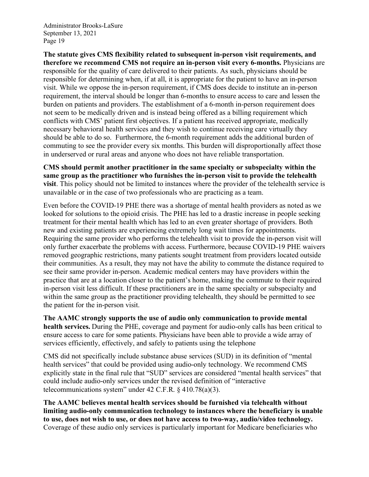**The statute gives CMS flexibility related to subsequent in-person visit requirements, and therefore we recommend CMS not require an in-person visit every 6-months.** Physicians are responsible for the quality of care delivered to their patients. As such, physicians should be responsible for determining when, if at all, it is appropriate for the patient to have an in-person visit. While we oppose the in-person requirement, if CMS does decide to institute an in-person requirement, the interval should be longer than 6-months to ensure access to care and lessen the burden on patients and providers. The establishment of a 6-month in-person requirement does not seem to be medically driven and is instead being offered as a billing requirement which conflicts with CMS' patient first objectives. If a patient has received appropriate, medically necessary behavioral health services and they wish to continue receiving care virtually they should be able to do so. Furthermore, the 6-month requirement adds the additional burden of commuting to see the provider every six months. This burden will disproportionally affect those in underserved or rural areas and anyone who does not have reliable transportation.

**CMS should permit another practitioner in the same specialty or subspecialty within the same group as the practitioner who furnishes the in-person visit to provide the telehealth visit**. This policy should not be limited to instances where the provider of the telehealth service is unavailable or in the case of two professionals who are practicing as a team.

Even before the COVID-19 PHE there was a shortage of mental health providers as noted as we looked for solutions to the opioid crisis. The PHE has led to a drastic increase in people seeking treatment for their mental health which has led to an even greater shortage of providers. Both new and existing patients are experiencing extremely long wait times for appointments. Requiring the same provider who performs the telehealth visit to provide the in-person visit will only further exacerbate the problems with access. Furthermore, because COVID-19 PHE waivers removed geographic restrictions, many patients sought treatment from providers located outside their communities. As a result, they may not have the ability to commute the distance required to see their same provider in-person. Academic medical centers may have providers within the practice that are at a location closer to the patient's home, making the commute to their required in-person visit less difficult. If these practitioners are in the same specialty or subspecialty and within the same group as the practitioner providing telehealth, they should be permitted to see the patient for the in-person visit.

**The AAMC strongly supports the use of audio only communication to provide mental health services.** During the PHE, coverage and payment for audio-only calls has been critical to ensure access to care for some patients. Physicians have been able to provide a wide array of services efficiently, effectively, and safely to patients using the telephone

CMS did not specifically include substance abuse services (SUD) in its definition of "mental health services" that could be provided using audio-only technology. We recommend CMS explicitly state in the final rule that "SUD" services are considered "mental health services" that could include audio-only services under the revised definition of "interactive telecommunications system" under 42 C.F.R. § 410.78(a)(3).

**The AAMC believes mental health services should be furnished via telehealth without limiting audio-only communication technology to instances where the beneficiary is unable to use, does not wish to use, or does not have access to two-way, audio/video technology.** Coverage of these audio only services is particularly important for Medicare beneficiaries who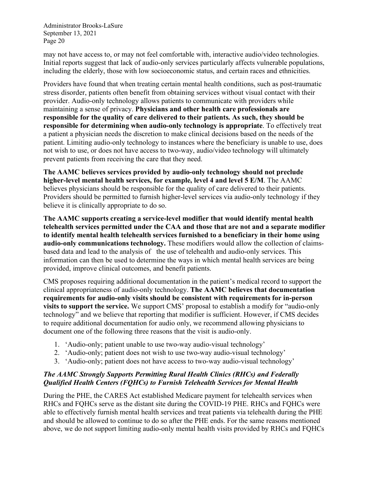may not have access to, or may not feel comfortable with, interactive audio/video technologies. Initial reports suggest that lack of audio-only services particularly affects vulnerable populations, including the elderly, those with low socioeconomic status, and certain races and ethnicities.

Providers have found that when treating certain mental health conditions, such as post-traumatic stress disorder, patients often benefit from obtaining services without visual contact with their provider. Audio-only technology allows patients to communicate with providers while maintaining a sense of privacy. **Physicians and other health care professionals are responsible for the quality of care delivered to their patients. As such, they should be responsible for determining when audio-only technology is appropriate**. To effectively treat a patient a physician needs the discretion to make clinical decisions based on the needs of the patient. Limiting audio-only technology to instances where the beneficiary is unable to use, does not wish to use, or does not have access to two-way, audio/video technology will ultimately prevent patients from receiving the care that they need.

**The AAMC believes services provided by audio-only technology should not preclude higher-level mental health services, for example, level 4 and level 5 E/M**. The AAMC believes physicians should be responsible for the quality of care delivered to their patients. Providers should be permitted to furnish higher-level services via audio-only technology if they believe it is clinically appropriate to do so.

**The AAMC supports creating a service-level modifier that would identify mental health telehealth services permitted under the CAA and those that are not and a separate modifier to identify mental health telehealth services furnished to a beneficiary in their home using audio-only communications technology.** These modifiers would allow the collection of claimsbased data and lead to the analysis of the use of telehealth and audio-only services. This information can then be used to determine the ways in which mental health services are being provided, improve clinical outcomes, and benefit patients.

CMS proposes requiring additional documentation in the patient's medical record to support the clinical appropriateness of audio-only technology. **The AAMC believes that documentation requirements for audio-only visits should be consistent with requirements for in-person visits to support the service.** We support CMS' proposal to establish a modify for "audio-only technology" and we believe that reporting that modifier is sufficient. However, if CMS decides to require additional documentation for audio only, we recommend allowing physicians to document one of the following three reasons that the visit is audio-only.

- 1. 'Audio-only; patient unable to use two-way audio-visual technology'
- 2. 'Audio-only; patient does not wish to use two-way audio-visual technology'
- 3. 'Audio-only; patient does not have access to two-way audio-visual technology'

## *The AAMC Strongly Supports Permitting Rural Health Clinics (RHCs) and Federally Qualified Health Centers (FQHCs) to Furnish Telehealth Services for Mental Health*

During the PHE, the CARES Act established Medicare payment for telehealth services when RHCs and FQHCs serve as the distant site during the COVID-19 PHE. RHCs and FQHCs were able to effectively furnish mental health services and treat patients via telehealth during the PHE and should be allowed to continue to do so after the PHE ends. For the same reasons mentioned above, we do not support limiting audio-only mental health visits provided by RHCs and FQHCs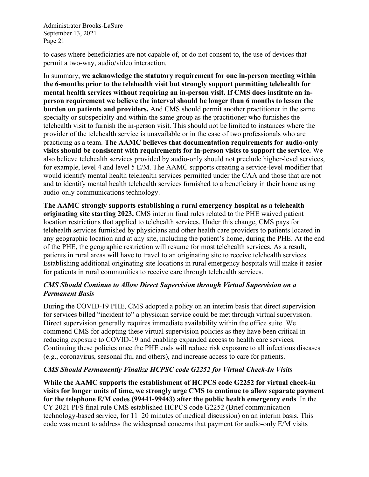to cases where beneficiaries are not capable of, or do not consent to, the use of devices that permit a two-way, audio/video interaction.

In summary, **we acknowledge the statutory requirement for one in-person meeting within the 6-months prior to the telehealth visit but strongly support permitting telehealth for mental health services without requiring an in-person visit. If CMS does institute an inperson requirement we believe the interval should be longer than 6 months to lessen the burden on patients and providers.** And CMS should permit another practitioner in the same specialty or subspecialty and within the same group as the practitioner who furnishes the telehealth visit to furnish the in-person visit. This should not be limited to instances where the provider of the telehealth service is unavailable or in the case of two professionals who are practicing as a team. **The AAMC believes that documentation requirements for audio-only visits should be consistent with requirements for in-person visits to support the service.** We also believe telehealth services provided by audio-only should not preclude higher-level services, for example, level 4 and level 5 E/M. The AAMC supports creating a service-level modifier that would identify mental health telehealth services permitted under the CAA and those that are not and to identify mental health telehealth services furnished to a beneficiary in their home using audio-only communications technology.

**The AAMC strongly supports establishing a rural emergency hospital as a telehealth originating site starting 2023.** CMS interim final rules related to the PHE waived patient location restrictions that applied to telehealth services. Under this change, CMS pays for telehealth services furnished by physicians and other health care providers to patients located in any geographic location and at any site, including the patient's home, during the PHE. At the end of the PHE, the geographic restriction will resume for most telehealth services. As a result, patients in rural areas will have to travel to an originating site to receive telehealth services. Establishing additional originating site locations in rural emergency hospitals will make it easier for patients in rural communities to receive care through telehealth services.

## *CMS Should Continue to Allow Direct Supervision through Virtual Supervision on a Permanent Basis*

During the COVID-19 PHE, CMS adopted a policy on an interim basis that direct supervision for services billed "incident to" a physician service could be met through virtual supervision. Direct supervision generally requires immediate availability within the office suite. We commend CMS for adopting these virtual supervision policies as they have been critical in reducing exposure to COVID-19 and enabling expanded access to health care services. Continuing these policies once the PHE ends will reduce risk exposure to all infectious diseases (e.g., coronavirus, seasonal flu, and others), and increase access to care for patients.

## *CMS Should Permanently Finalize HCPSC code G2252 for Virtual Check-In Visits*

**While the AAMC supports the establishment of HCPCS code G2252 for virtual check-in visits for longer units of time, we strongly urge CMS to continue to allow separate payment for the telephone E/M codes (99441-99443) after the public health emergency ends**. In the CY 2021 PFS final rule CMS established HCPCS code G2252 (Brief communication technology-based service, for 11–20 minutes of medical discussion) on an interim basis. This code was meant to address the widespread concerns that payment for audio-only E/M visits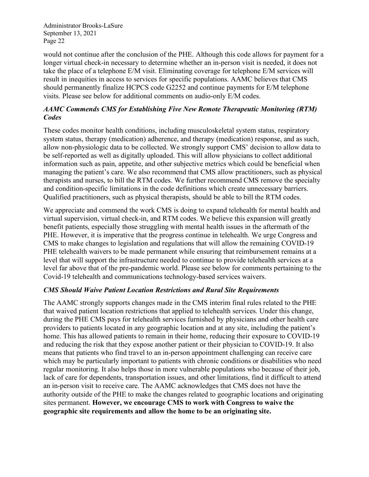would not continue after the conclusion of the PHE. Although this code allows for payment for a longer virtual check-in necessary to determine whether an in-person visit is needed, it does not take the place of a telephone E/M visit. Eliminating coverage for telephone E/M services will result in inequities in access to services for specific populations. AAMC believes that CMS should permanently finalize HCPCS code G2252 and continue payments for E/M telephone visits. Please see below for additional comments on audio-only E/M codes.

# *AAMC Commends CMS for Establishing Five New Remote Therapeutic Monitoring (RTM) Codes*

These codes monitor health conditions, including musculoskeletal system status, respiratory system status, therapy (medication) adherence, and therapy (medication) response, and as such, allow non-physiologic data to be collected. We strongly support CMS' decision to allow data to be self-reported as well as digitally uploaded. This will allow physicians to collect additional information such as pain, appetite, and other subjective metrics which could be beneficial when managing the patient's care. We also recommend that CMS allow practitioners, such as physical therapists and nurses, to bill the RTM codes. We further recommend CMS remove the specialty and condition-specific limitations in the code definitions which create unnecessary barriers. Qualified practitioners, such as physical therapists, should be able to bill the RTM codes.

We appreciate and commend the work CMS is doing to expand telehealth for mental health and virtual supervision, virtual check-in, and RTM codes. We believe this expansion will greatly benefit patients, especially those struggling with mental health issues in the aftermath of the PHE. However, it is imperative that the progress continue in telehealth. We urge Congress and CMS to make changes to legislation and regulations that will allow the remaining COVID-19 PHE telehealth waivers to be made permanent while ensuring that reimbursement remains at a level that will support the infrastructure needed to continue to provide telehealth services at a level far above that of the pre-pandemic world. Please see below for comments pertaining to the Covid-19 telehealth and communications technology-based services waivers.

## *CMS Should Waive Patient Location Restrictions and Rural Site Requirements*

The AAMC strongly supports changes made in the CMS interim final rules related to the PHE that waived patient location restrictions that applied to telehealth services. Under this change, during the PHE CMS pays for telehealth services furnished by physicians and other health care providers to patients located in any geographic location and at any site, including the patient's home. This has allowed patients to remain in their home, reducing their exposure to COVID-19 and reducing the risk that they expose another patient or their physician to COVID-19. It also means that patients who find travel to an in-person appointment challenging can receive care which may be particularly important to patients with chronic conditions or disabilities who need regular monitoring. It also helps those in more vulnerable populations who because of their job, lack of care for dependents, transportation issues, and other limitations, find it difficult to attend an in-person visit to receive care. The AAMC acknowledges that CMS does not have the authority outside of the PHE to make the changes related to geographic locations and originating sites permanent. **However, we encourage CMS to work with Congress to waive the geographic site requirements and allow the home to be an originating site.**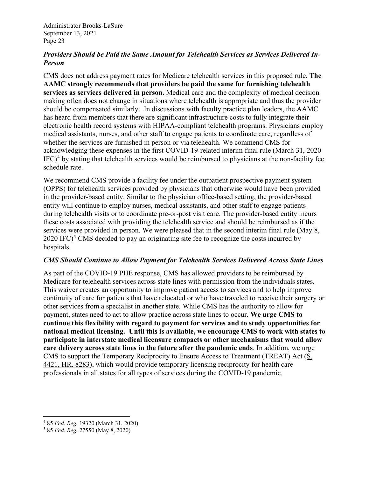#### *Providers Should be Paid the Same Amount for Telehealth Services as Services Delivered In-Person*

CMS does not address payment rates for Medicare telehealth services in this proposed rule. **The AAMC strongly recommends that providers be paid the same for furnishing telehealth services as services delivered in person.** Medical care and the complexity of medical decision making often does not change in situations where telehealth is appropriate and thus the provider should be compensated similarly. In discussions with faculty practice plan leaders, the AAMC has heard from members that there are significant infrastructure costs to fully integrate their electronic health record systems with HIPAA-compliant telehealth programs. Physicians employ medical assistants, nurses, and other staff to engage patients to coordinate care, regardless of whether the services are furnished in person or via telehealth. We commend CMS for acknowledging these expenses in the first COVID-19-related interim final rule (March 31, 2020  $IFC$ <sup>[4](#page-22-0)</sup> by stating that telehealth services would be reimbursed to physicians at the non-facility fee schedule rate.

We recommend CMS provide a facility fee under the outpatient prospective payment system (OPPS) for telehealth services provided by physicians that otherwise would have been provided in the provider-based entity. Similar to the physician office-based setting, the provider-based entity will continue to employ nurses, medical assistants, and other staff to engage patients during telehealth visits or to coordinate pre-or-post visit care. The provider-based entity incurs these costs associated with providing the telehealth service and should be reimbursed as if the services were provided in person. We were pleased that in the second interim final rule (May 8,  $2020$  IFC)<sup>[5](#page-22-1)</sup> CMS decided to pay an originating site fee to recognize the costs incurred by hospitals.

#### *CMS Should Continue to Allow Payment for Telehealth Services Delivered Across State Lines*

As part of the COVID-19 PHE response, CMS has allowed providers to be reimbursed by Medicare for telehealth services across state lines with permission from the individuals states. This waiver creates an opportunity to improve patient access to services and to help improve continuity of care for patients that have relocated or who have traveled to receive their surgery or other services from a specialist in another state. While CMS has the authority to allow for payment, states need to act to allow practice across state lines to occur. **We urge CMS to continue this flexibility with regard to payment for services and to study opportunities for national medical licensing. Until this is available, we encourage CMS to work with states to participate in interstate medical licensure compacts or other mechanisms that would allow care delivery across state lines in the future after the pandemic ends**. In addition, we urge CMS to support the Temporary Reciprocity to Ensure Access to Treatment (TREAT) Act [\(S.](https://www.congress.gov/bill/116th-congress/senate-bill/4421)  [4421,](https://www.congress.gov/bill/116th-congress/senate-bill/4421) HR. 8283), which would provide temporary licensing reciprocity for health care professionals in all states for all types of services during the COVID-19 pandemic.

<span id="page-22-0"></span><sup>4</sup> 85 *Fed. Reg.* 19320 (March 31, 2020)

<span id="page-22-1"></span><sup>5</sup> 85 *Fed. Reg.* 27550 (May 8, 2020)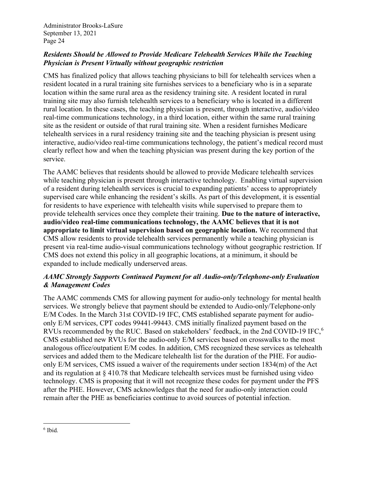## *Residents Should be Allowed to Provide Medicare Telehealth Services While the Teaching Physician is Present Virtually without geographic restriction*

CMS has finalized policy that allows teaching physicians to bill for telehealth services when a resident located in a rural training site furnishes services to a beneficiary who is in a separate location within the same rural area as the residency training site. A resident located in rural training site may also furnish telehealth services to a beneficiary who is located in a different rural location. In these cases, the teaching physician is present, through interactive, audio/video real-time communications technology, in a third location, either within the same rural training site as the resident or outside of that rural training site. When a resident furnishes Medicare telehealth services in a rural residency training site and the teaching physician is present using interactive, audio/video real-time communications technology, the patient's medical record must clearly reflect how and when the teaching physician was present during the key portion of the service.

The AAMC believes that residents should be allowed to provide Medicare telehealth services while teaching physician is present through interactive technology. Enabling virtual supervision of a resident during telehealth services is crucial to expanding patients' access to appropriately supervised care while enhancing the resident's skills. As part of this development, it is essential for residents to have experience with telehealth visits while supervised to prepare them to provide telehealth services once they complete their training. **Due to the nature of interactive, audio/video real-time communications technology, the AAMC believes that it is not appropriate to limit virtual supervision based on geographic location.** We recommend that CMS allow residents to provide telehealth services permanently while a teaching physician is present via real-time audio-visual communications technology without geographic restriction. If CMS does not extend this policy in all geographic locations, at a minimum, it should be expanded to include medically underserved areas.

## *AAMC Strongly Supports Continued Payment for all Audio-only/Telephone-only Evaluation & Management Codes*

The AAMC commends CMS for allowing payment for audio-only technology for mental health services. We strongly believe that payment should be extended to Audio-only/Telephone-only E/M Codes. In the March 31st COVID-19 IFC, CMS established separate payment for audioonly E/M services, CPT codes 99441-99443. CMS initially finalized payment based on the RVUs recommended by the RUC. Based on stakeholders' feedback, in the 2nd COVID-19 IFC,<sup>[6](#page-23-0)</sup> CMS established new RVUs for the audio-only E/M services based on crosswalks to the most analogous office/outpatient E/M codes. In addition, CMS recognized these services as telehealth services and added them to the Medicare telehealth list for the duration of the PHE. For audioonly E/M services, CMS issued a waiver of the requirements under section 1834(m) of the Act and its regulation at § 410.78 that Medicare telehealth services must be furnished using video technology. CMS is proposing that it will not recognize these codes for payment under the PFS after the PHE. However, CMS acknowledges that the need for audio-only interaction could remain after the PHE as beneficiaries continue to avoid sources of potential infection.

<span id="page-23-0"></span><sup>6</sup> Ibid.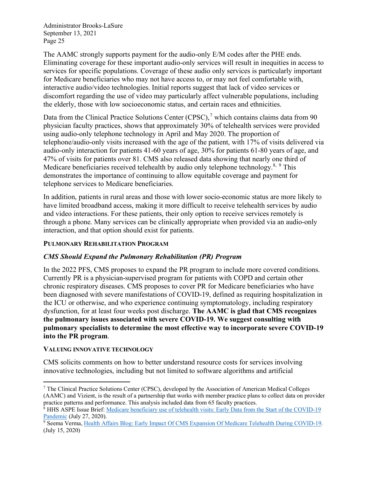The AAMC strongly supports payment for the audio-only E/M codes after the PHE ends. Eliminating coverage for these important audio-only services will result in inequities in access to services for specific populations. Coverage of these audio only services is particularly important for Medicare beneficiaries who may not have access to, or may not feel comfortable with, interactive audio/video technologies. Initial reports suggest that lack of video services or discomfort regarding the use of video may particularly affect vulnerable populations, including the elderly, those with low socioeconomic status, and certain races and ethnicities.

Data from the Clinical Practice Solutions Center (CPSC),<sup>[7](#page-24-0)</sup> which contains claims data from 90 physician faculty practices, shows that approximately 30% of telehealth services were provided using audio-only telephone technology in April and May 2020. The proportion of telephone/audio-only visits increased with the age of the patient, with 17% of visits delivered via audio-only interaction for patients 41-60 years of age, 30% for patients 61-80 years of age, and 47% of visits for patients over 81. CMS also released data showing that nearly one third of Medicare beneficiaries received telehealth by audio only telephone technology.<sup>[8](#page-24-1), [9](#page-24-2)</sup> This demonstrates the importance of continuing to allow equitable coverage and payment for telephone services to Medicare beneficiaries.

In addition, patients in rural areas and those with lower socio-economic status are more likely to have limited broadband access, making it more difficult to receive telehealth services by audio and video interactions. For these patients, their only option to receive services remotely is through a phone. Many services can be clinically appropriate when provided via an audio-only interaction, and that option should exist for patients.

## **PULMONARY REHABILITATION PROGRAM**

## *CMS Should Expand the Pulmonary Rehabilitation (PR) Program*

In the 2022 PFS, CMS proposes to expand the PR program to include more covered conditions. Currently PR is a physician-supervised program for patients with COPD and certain other chronic respiratory diseases. CMS proposes to cover PR for Medicare beneficiaries who have been diagnosed with severe manifestations of COVID-19, defined as requiring hospitalization in the ICU or otherwise, and who experience continuing symptomatology, including respiratory dysfunction, for at least four weeks post discharge. **The AAMC is glad that CMS recognizes the pulmonary issues associated with severe COVID-19. We suggest consulting with pulmonary specialists to determine the most effective way to incorporate severe COVID-19 into the PR program**.

#### **VALUING INNOVATIVE TECHNOLOGY**

CMS solicits comments on how to better understand resource costs for services involving innovative technologies, including but not limited to software algorithms and artificial

<span id="page-24-0"></span><sup>7</sup> The Clinical Practice Solutions Center (CPSC), developed by the Association of American Medical Colleges (AAMC) and Vizient, is the result of a partnership that works with member practice plans to collect data on provider practice patterns and performance. This analysis included data from 65 faculty practices.

<span id="page-24-1"></span><sup>&</sup>lt;sup>8</sup> HHS ASPE Issue Brief: Medicare beneficiary use of telehealth visits: Early Data from the Start of the COVID-19 [Pandemic](https://aspe.hhs.gov/reports/medicare-beneficiary-use-telehealth-visits-early-data-start-covid-19-pandemic) (July 27, 2020).

<span id="page-24-2"></span><sup>9</sup> Seema Verma, Health Affairs Blog: [Early Impact Of CMS Expansion Of Medicare](https://www.healthaffairs.org/do/10.1377/hblog20200715.454789/abs/) Telehealth During COVID-19. (July 15, 2020)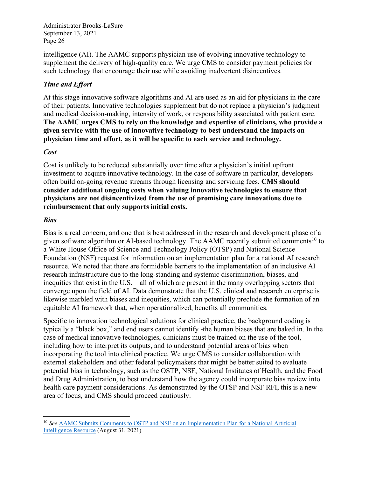intelligence (AI). The AAMC supports physician use of evolving innovative technology to supplement the delivery of high-quality care. We urge CMS to consider payment policies for such technology that encourage their use while avoiding inadvertent disincentives.

# *Time and Effort*

At this stage innovative software algorithms and AI are used as an aid for physicians in the care of their patients. Innovative technologies supplement but do not replace a physician's judgment and medical decision-making, intensity of work, or responsibility associated with patient care. **The AAMC urges CMS to rely on the knowledge and expertise of clinicians, who provide a given service with the use of innovative technology to best understand the impacts on physician time and effort, as it will be specific to each service and technology.**

## *Cost*

Cost is unlikely to be reduced substantially over time after a physician's initial upfront investment to acquire innovative technology. In the case of software in particular, developers often build on-going revenue streams through licensing and servicing fees. **CMS should consider additional ongoing costs when valuing innovative technologies to ensure that physicians are not disincentivized from the use of promising care innovations due to reimbursement that only supports initial costs.**

## *Bias*

Bias is a real concern, and one that is best addressed in the research and development phase of a given software algorithm or AI-based technology. The AAMC recently submitted comments<sup>[10](#page-25-0)</sup> to a White House Office of Science and Technology Policy (OTSP) and National Science Foundation (NSF) request for information on an implementation plan for a national AI research resource. We noted that there are formidable barriers to the implementation of an inclusive AI research infrastructure due to the long-standing and systemic discrimination, biases, and inequities that exist in the U.S. – all of which are present in the many overlapping sectors that converge upon the field of AI. Data demonstrate that the U.S. clinical and research enterprise is likewise marbled with biases and inequities, which can potentially preclude the formation of an equitable AI framework that, when operationalized, benefits all communities.

Specific to innovation technological solutions for clinical practice, the background coding is typically a "black box," and end users cannot identify -the human biases that are baked in. In the case of medical innovative technologies, clinicians must be trained on the use of the tool, including how to interpret its outputs, and to understand potential areas of bias when incorporating the tool into clinical practice. We urge CMS to consider collaboration with external stakeholders and other federal policymakers that might be better suited to evaluate potential bias in technology, such as the OSTP, NSF, National Institutes of Health, and the Food and Drug Administration, to best understand how the agency could incorporate bias review into health care payment considerations. As demonstrated by the OTSP and NSF RFI, this is a new area of focus, and CMS should proceed cautiously.

<span id="page-25-0"></span><sup>&</sup>lt;sup>10</sup> See AAMC Submits Comments to OSTP and NSF on an Implementation Plan for a National Artificial [Intelligence Resource](https://www.aamc.org/media/56226/download) (August 31, 2021).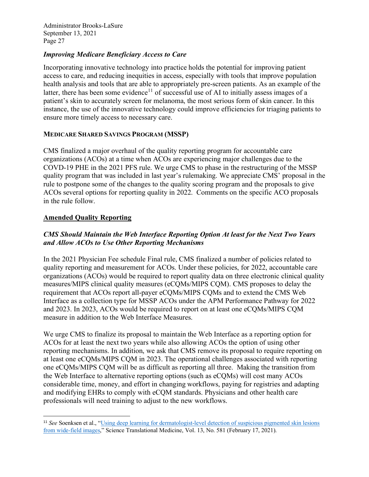#### *Improving Medicare Beneficiary Access to Care*

Incorporating innovative technology into practice holds the potential for improving patient access to care, and reducing inequities in access, especially with tools that improve population health analysis and tools that are able to appropriately pre-screen patients. As an example of the latter, there has been some evidence<sup>[11](#page-26-0)</sup> of successful use of AI to initially assess images of a patient's skin to accurately screen for melanoma, the most serious form of skin cancer. In this instance, the use of the innovative technology could improve efficiencies for triaging patients to ensure more timely access to necessary care.

#### **MEDICARE SHARED SAVINGS PROGRAM (MSSP)**

CMS finalized a major overhaul of the quality reporting program for accountable care organizations (ACOs) at a time when ACOs are experiencing major challenges due to the COVD-19 PHE in the 2021 PFS rule. We urge CMS to phase in the restructuring of the MSSP quality program that was included in last year's rulemaking. We appreciate CMS' proposal in the rule to postpone some of the changes to the quality scoring program and the proposals to give ACOs several options for reporting quality in 2022. Comments on the specific ACO proposals in the rule follow.

#### **Amended Quality Reporting**

## *CMS Should Maintain the Web Interface Reporting Option At least for the Next Two Years and Allow ACOs to Use Other Reporting Mechanisms*

In the 2021 Physician Fee schedule Final rule, CMS finalized a number of policies related to quality reporting and measurement for ACOs. Under these policies, for 2022, accountable care organizations (ACOs) would be required to report quality data on three electronic clinical quality measures/MIPS clinical quality measures (eCQMs/MIPS CQM). CMS proposes to delay the requirement that ACOs report all-payer eCQMs/MIPS CQMs and to extend the CMS Web Interface as a collection type for MSSP ACOs under the APM Performance Pathway for 2022 and 2023. In 2023, ACOs would be required to report on at least one eCQMs/MIPS CQM measure in addition to the Web Interface Measures.

We urge CMS to finalize its proposal to maintain the Web Interface as a reporting option for ACOs for at least the next two years while also allowing ACOs the option of using other reporting mechanisms. In addition, we ask that CMS remove its proposal to require reporting on at least one eCQMs/MIPS CQM in 2023. The operational challenges associated with reporting one eCQMs/MIPS CQM will be as difficult as reporting all three. Making the transition from the Web Interface to alternative reporting options (such as eCQMs) will cost many ACOs considerable time, money, and effort in changing workflows, paying for registries and adapting and modifying EHRs to comply with eCQM standards. Physicians and other health care professionals will need training to adjust to the new workflows.

<span id="page-26-0"></span><sup>11</sup> *See* Soenksen et al., ["Using deep learning for dermatologist-level detection of suspicious pigmented skin lesions](https://www.science.org/doi/10.1126/scitranslmed.abb3652)  [from wide-field images,](https://www.science.org/doi/10.1126/scitranslmed.abb3652)" Science Translational Medicine, Vol. 13, No. 581 (February 17, 2021).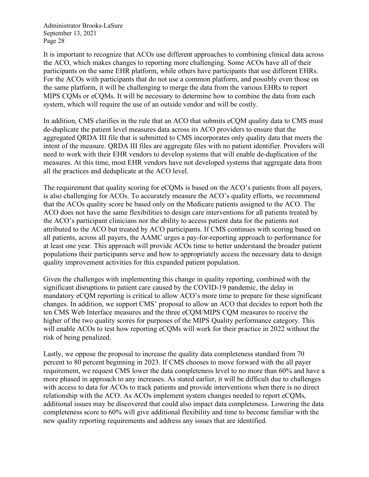It is important to recognize that ACOs use different approaches to combining clinical data across the ACO, which makes changes to reporting more challenging. Some ACOs have all of their participants on the same EHR platform, while others have participants that use different EHRs. For the ACOs with participants that do not use a common platform, and possibly even those on the same platform, it will be challenging to merge the data from the various EHRs to report MIPS CQMs or eCQMs. It will be necessary to determine how to combine the data from each system, which will require the use of an outside vendor and will be costly.

In addition, CMS clarifies in the rule that an ACO that submits eCQM quality data to CMS must de-duplicate the patient level measures data across its ACO providers to ensure that the aggregated QRDA III file that is submitted to CMS incorporates only quality data that meets the intent of the measure. QRDA III files are aggregate files with no patient identifier. Providers will need to work with their EHR vendors to develop systems that will enable de-duplication of the measures. At this time, most EHR vendors have not developed systems that aggregate data from all the practices and deduplicate at the ACO level.

The requirement that quality scoring for eCQMs is based on the ACO's patients from all payers, is also challenging for ACOs. To accurately measure the ACO's quality efforts, we recommend that the ACOs quality score be based only on the Medicare patients assigned to the ACO. The ACO does not have the same flexibilities to design care interventions for all patients treated by the ACO's participant clinicians nor the ability to access patient data for the patients not attributed to the ACO but treated by ACO participants. If CMS continues with scoring based on all patients, across all payers, the AAMC urges a pay-for-reporting approach to performance for at least one year. This approach will provide ACOs time to better understand the broader patient populations their participants serve and how to appropriately access the necessary data to design quality improvement activities for this expanded patient population.

Given the challenges with implementing this change in quality reporting, combined with the significant disruptions to patient care caused by the COVID-19 pandemic, the delay in mandatory eCQM reporting is critical to allow ACO's more time to prepare for these significant changes. In addition, we support CMS' proposal to allow an ACO that decides to report both the ten CMS Web Interface measures and the three eCQM/MIPS CQM measures to receive the higher of the two quality scores for purposes of the MIPS Quality performance category. This will enable ACOs to test how reporting eCQMs will work for their practice in 2022 without the risk of being penalized.

Lastly, we oppose the proposal to increase the quality data completeness standard from 70 percent to 80 percent beginning in 2023. If CMS chooses to move forward with the all payer requirement, we request CMS lower the data completeness level to no more than 60% and have a more phased in approach to any increases. As stated earlier, it will be difficult due to challenges with access to data for ACOs to track patients and provide interventions when there is no direct relationship with the ACO. As ACOs implement system changes needed to report eCQMs, additional issues may be discovered that could also impact data completeness. Lowering the data completeness score to 60% will give additional flexibility and time to become familiar with the new quality reporting requirements and address any issues that are identified.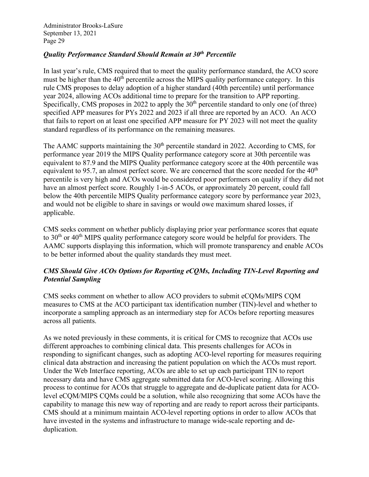## *Quality Performance Standard Should Remain at 30th Percentile*

In last year's rule, CMS required that to meet the quality performance standard, the ACO score must be higher than the 40<sup>th</sup> percentile across the MIPS quality performance category. In this rule CMS proposes to delay adoption of a higher standard (40th percentile) until performance year 2024, allowing ACOs additional time to prepare for the transition to APP reporting. Specifically, CMS proposes in 2022 to apply the  $30<sup>th</sup>$  percentile standard to only one (of three) specified APP measures for PYs 2022 and 2023 if all three are reported by an ACO. An ACO that fails to report on at least one specified APP measure for PY 2023 will not meet the quality standard regardless of its performance on the remaining measures.

The AAMC supports maintaining the  $30<sup>th</sup>$  percentile standard in 2022. According to CMS, for performance year 2019 the MIPS Quality performance category score at 30th percentile was equivalent to 87.9 and the MIPS Quality performance category score at the 40th percentile was equivalent to 95.7, an almost perfect score. We are concerned that the score needed for the  $40<sup>th</sup>$ percentile is very high and ACOs would be considered poor performers on quality if they did not have an almost perfect score. Roughly 1-in-5 ACOs, or approximately 20 percent, could fall below the 40th percentile MIPS Quality performance category score by performance year 2023, and would not be eligible to share in savings or would owe maximum shared losses, if applicable.

CMS seeks comment on whether publicly displaying prior year performance scores that equate to  $30<sup>th</sup>$  or  $40<sup>th</sup>$  MIPS quality performance category score would be helpful for providers. The AAMC supports displaying this information, which will promote transparency and enable ACOs to be better informed about the quality standards they must meet.

# *CMS Should Give ACOs Options for Reporting eCQMs, Including TIN-Level Reporting and Potential Sampling*

CMS seeks comment on whether to allow ACO providers to submit eCQMs/MIPS CQM measures to CMS at the ACO participant tax identification number (TIN)-level and whether to incorporate a sampling approach as an intermediary step for ACOs before reporting measures across all patients.

As we noted previously in these comments, it is critical for CMS to recognize that ACOs use different approaches to combining clinical data. This presents challenges for ACOs in responding to significant changes, such as adopting ACO-level reporting for measures requiring clinical data abstraction and increasing the patient population on which the ACOs must report. Under the Web Interface reporting, ACOs are able to set up each participant TIN to report necessary data and have CMS aggregate submitted data for ACO-level scoring. Allowing this process to continue for ACOs that struggle to aggregate and de-duplicate patient data for ACOlevel eCQM/MIPS CQMs could be a solution, while also recognizing that some ACOs have the capability to manage this new way of reporting and are ready to report across their participants. CMS should at a minimum maintain ACO-level reporting options in order to allow ACOs that have invested in the systems and infrastructure to manage wide-scale reporting and deduplication.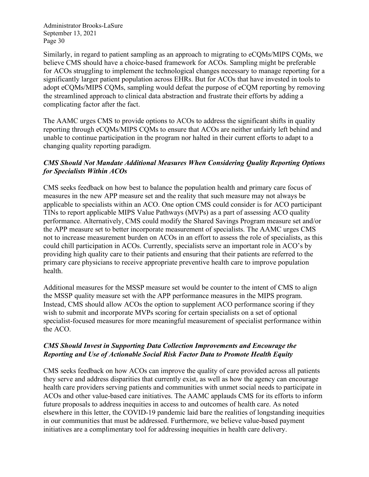Similarly, in regard to patient sampling as an approach to migrating to eCQMs/MIPS CQMs, we believe CMS should have a choice-based framework for ACOs. Sampling might be preferable for ACOs struggling to implement the technological changes necessary to manage reporting for a significantly larger patient population across EHRs. But for ACOs that have invested in tools to adopt eCQMs/MIPS CQMs, sampling would defeat the purpose of eCQM reporting by removing the streamlined approach to clinical data abstraction and frustrate their efforts by adding a complicating factor after the fact.

The AAMC urges CMS to provide options to ACOs to address the significant shifts in quality reporting through eCQMs/MIPS CQMs to ensure that ACOs are neither unfairly left behind and unable to continue participation in the program nor halted in their current efforts to adapt to a changing quality reporting paradigm.

## *CMS Should Not Mandate Additional Measures When Considering Quality Reporting Options for Specialists Within ACOs*

CMS seeks feedback on how best to balance the population health and primary care focus of measures in the new APP measure set and the reality that such measure may not always be applicable to specialists within an ACO. One option CMS could consider is for ACO participant TINs to report applicable MIPS Value Pathways (MVPs) as a part of assessing ACO quality performance. Alternatively, CMS could modify the Shared Savings Program measure set and/or the APP measure set to better incorporate measurement of specialists. The AAMC urges CMS not to increase measurement burden on ACOs in an effort to assess the role of specialists, as this could chill participation in ACOs. Currently, specialists serve an important role in ACO's by providing high quality care to their patients and ensuring that their patients are referred to the primary care physicians to receive appropriate preventive health care to improve population health.

Additional measures for the MSSP measure set would be counter to the intent of CMS to align the MSSP quality measure set with the APP performance measures in the MIPS program. Instead, CMS should allow ACOs the option to supplement ACO performance scoring if they wish to submit and incorporate MVPs scoring for certain specialists on a set of optional specialist-focused measures for more meaningful measurement of specialist performance within the ACO.

## *CMS Should Invest in Supporting Data Collection Improvements and Encourage the Reporting and Use of Actionable Social Risk Factor Data to Promote Health Equity*

CMS seeks feedback on how ACOs can improve the quality of care provided across all patients they serve and address disparities that currently exist, as well as how the agency can encourage health care providers serving patients and communities with unmet social needs to participate in ACOs and other value-based care initiatives. The AAMC applauds CMS for its efforts to inform future proposals to address inequities in access to and outcomes of health care. As noted elsewhere in this letter, the COVID-19 pandemic laid bare the realities of longstanding inequities in our communities that must be addressed. Furthermore, we believe value-based payment initiatives are a complimentary tool for addressing inequities in health care delivery.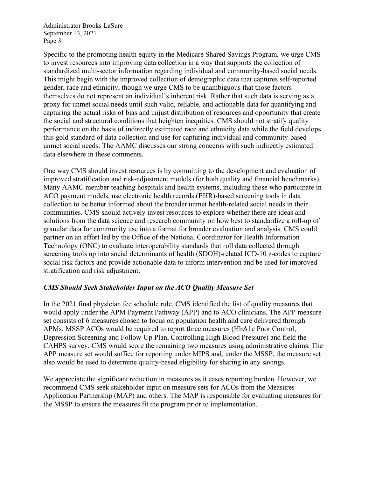Specific to the promoting health equity in the Medicare Shared Savings Program, we urge CMS to invest resources into improving data collection in a way that supports the collection of standardized multi-sector information regarding individual and community-based social needs. This might begin with the improved collection of demographic data that captures self-reported gender, race and ethnicity, though we urge CMS to be unambiguous that those factors themselves do not represent an individual's inherent risk. Rather that such data is serving as a proxy for unmet social needs until such valid, reliable, and actionable data for quantifying and capturing the actual risks of bias and unjust distribution of resources and opportunity that create the social and structural conditions that heighten inequities. CMS should not stratify quality performance on the basis of indirectly estimated race and ethnicity data while the field develops this gold standard of data collection and use for capturing individual and community-based unmet social needs. The AAMC discusses our strong concerns with such indirectly estimated data elsewhere in these comments.

One way CMS should invest resources is by committing to the development and evaluation of improved stratification and risk-adjustment models (for both quality and financial benchmarks). Many AAMC member teaching hospitals and health systems, including those who participate in ACO payment models, use electronic health records (EHR)-based screening tools in data collection to be better informed about the broader unmet health-related social needs in their communities. CMS should actively invest resources to explore whether there are ideas and solutions from the data science and research community on how best to standardize a roll-up of granular data for community use into a format for broader evaluation and analysis. CMS could partner on an effort led by the Office of the National Coordinator for Health Information Technology (ONC) to evaluate interoperability standards that roll data collected through screening tools up into social determinants of health (SDOH)-related ICD-10 z-codes to capture social risk factors and provide actionable data to inform intervention and be used for improved stratification and risk adjustment.

#### *CMS Should Seek Stakeholder Input on the ACO Quality Measure Set*

In the 2021 final physician fee schedule rule, CMS identified the list of quality measures that would apply under the APM Payment Pathway (APP) and to ACO clinicians. The APP measure set consists of 6 measures chosen to focus on population health and care delivered through APMs. MSSP ACOs would be required to report three measures (HbA1c Poor Control, Depression Screening and Follow-Up Plan, Controlling High Blood Pressure) and field the CAHPS survey. CMS would score the remaining two measures using administrative claims. The APP measure set would suffice for reporting under MIPS and, under the MSSP, the measure set also would be used to determine quality-based eligibility for sharing in any savings.

We appreciate the significant reduction in measures as it eases reporting burden. However, we recommend CMS seek stakeholder input on measure sets for ACOs from the Measures Application Partnership (MAP) and others. The MAP is responsible for evaluating measures for the MSSP to ensure the measures fit the program prior to implementation.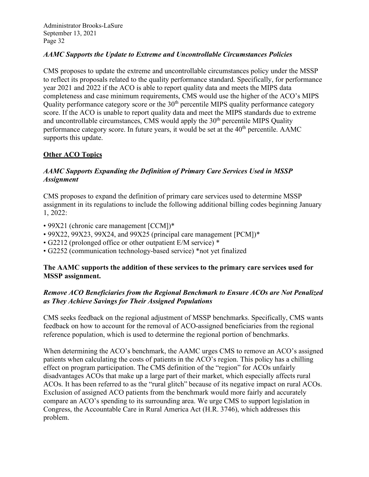## *AAMC Supports the Update to Extreme and Uncontrollable Circumstances Policies*

CMS proposes to update the extreme and uncontrollable circumstances policy under the MSSP to reflect its proposals related to the quality performance standard. Specifically, for performance year 2021 and 2022 if the ACO is able to report quality data and meets the MIPS data completeness and case minimum requirements, CMS would use the higher of the ACO's MIPS Quality performance category score or the  $30<sup>th</sup>$  percentile MIPS quality performance category score. If the ACO is unable to report quality data and meet the MIPS standards due to extreme and uncontrollable circumstances, CMS would apply the  $30<sup>th</sup>$  percentile MIPS Quality performance category score. In future years, it would be set at the  $40<sup>th</sup>$  percentile. AAMC supports this update.

# **Other ACO Topics**

## *AAMC Supports Expanding the Definition of Primary Care Services Used in MSSP Assignment*

CMS proposes to expand the definition of primary care services used to determine MSSP assignment in its regulations to include the following additional billing codes beginning January 1, 2022:

- 99X21 (chronic care management [CCM])\*
- 99X22, 99X23, 99X24, and 99X25 (principal care management [PCM])\*
- G2212 (prolonged office or other outpatient E/M service) \*
- G2252 (communication technology-based service) \*not yet finalized

#### **The AAMC supports the addition of these services to the primary care services used for MSSP assignment.**

# *Remove ACO Beneficiaries from the Regional Benchmark to Ensure ACOs are Not Penalized as They Achieve Savings for Their Assigned Populations*

CMS seeks feedback on the regional adjustment of MSSP benchmarks. Specifically, CMS wants feedback on how to account for the removal of ACO-assigned beneficiaries from the regional reference population, which is used to determine the regional portion of benchmarks.

When determining the ACO's benchmark, the AAMC urges CMS to remove an ACO's assigned patients when calculating the costs of patients in the ACO's region. This policy has a chilling effect on program participation. The CMS definition of the "region" for ACOs unfairly disadvantages ACOs that make up a large part of their market, which especially affects rural ACOs. It has been referred to as the "rural glitch" because of its negative impact on rural ACOs. Exclusion of assigned ACO patients from the benchmark would more fairly and accurately compare an ACO's spending to its surrounding area. We urge CMS to support legislation in Congress, the Accountable Care in Rural America Act (H.R. 3746), which addresses this problem.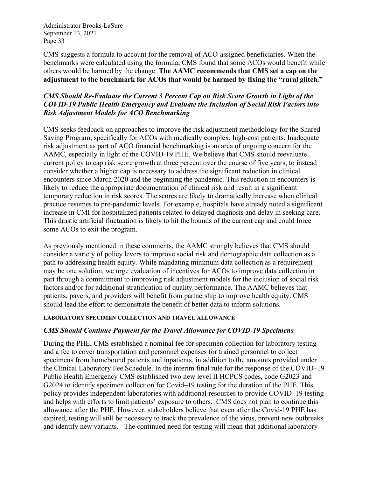CMS suggests a formula to account for the removal of ACO-assigned beneficiaries. When the benchmarks were calculated using the formula, CMS found that some ACOs would benefit while others would be harmed by the change. **The AAMC recommends that CMS set a cap on the adjustment to the benchmark for ACOs that would be harmed by fixing the "rural glitch."**

## *CMS Should Re-Evaluate the Current 3 Percent Cap on Risk Score Growth in Light of the COVID-19 Public Health Emergency and Evaluate the Inclusion of Social Risk Factors into Risk Adjustment Models for ACO Benchmarking*

CMS seeks feedback on approaches to improve the risk adjustment methodology for the Shared Saving Program, specifically for ACOs with medically complex, high-cost patients. Inadequate risk adjustment as part of ACO financial benchmarking is an area of ongoing concern for the AAMC, especially in light of the COVID-19 PHE. We believe that CMS should reevaluate current policy to cap risk score growth at three percent over the course of five years, to instead consider whether a higher cap is necessary to address the significant reduction in clinical encounters since March 2020 and the beginning the pandemic. This reduction in encounters is likely to reduce the appropriate documentation of clinical risk and result in a significant temporary reduction in risk scores. The scores are likely to dramatically increase when clinical practice resumes to pre-pandemic levels. For example, hospitals have already noted a significant increase in CMI for hospitalized patients related to delayed diagnosis and delay in seeking care. This drastic artificial fluctuation is likely to hit the bounds of the current cap and could force some ACOs to exit the program.

As previously mentioned in these comments, the AAMC strongly believes that CMS should consider a variety of policy levers to improve social risk and demographic data collection as a path to addressing health equity. While mandating minimum data collection as a requirement may be one solution, we urge evaluation of incentives for ACOs to improve data collection in part through a commitment to improving risk adjustment models for the inclusion of social risk factors and/or for additional stratification of quality performance. The AAMC believes that patients, payers, and providers will benefit from partnership to improve health equity. CMS should lead the effort to demonstrate the benefit of better data to inform solutions.

#### **LABORATORY SPECIMEN COLLECTION AND TRAVEL ALLOWANCE**

#### *CMS Should Continue Payment for the Travel Allowance for COVID-19 Specimens*

During the PHE, CMS established a nominal fee for specimen collection for laboratory testing and a fee to cover transportation and personnel expenses for trained personnel to collect specimens from homebound patients and inpatients, in addition to the amounts provided under the Clinical Laboratory Fee Schedule. In the interim final rule for the response of the COVID–19 Public Health Emergency CMS established two new level II HCPCS codes, code G2023 and G2024 to identify specimen collection for Covid–19 testing for the duration of the PHE. This policy provides independent laboratories with additional resources to provide COVID–19 testing and helps with efforts to limit patients' exposure to others. CMS does not plan to continue this allowance after the PHE. However, stakeholders believe that even after the Covid-19 PHE has expired, testing will still be necessary to track the prevalence of the virus, prevent new outbreaks and identify new variants. The continued need for testing will mean that additional laboratory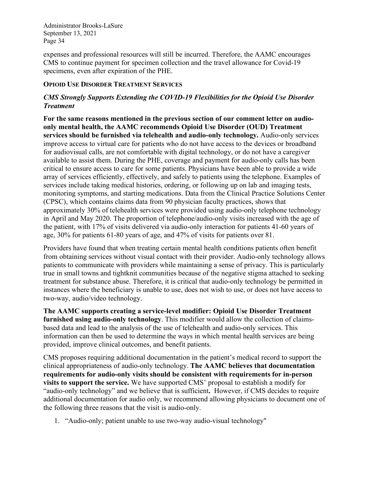expenses and professional resources will still be incurred. Therefore, the AAMC encourages CMS to continue payment for specimen collection and the travel allowance for Covid-19 specimens, even after expiration of the PHE.

## **OPIOID USE DISORDER TREATMENT SERVICES**

# *CMS Strongly Supports Extending the COVID-19 Flexibilities for the Opioid Use Disorder Treatment*

**For the same reasons mentioned in the previous section of our comment letter on audioonly mental health, the AAMC recommends Opioid Use Disorder (OUD) Treatment services should be furnished via telehealth and audio-only technology.** Audio-only services improve access to virtual care for patients who do not have access to the devices or broadband for audiovisual calls, are not comfortable with digital technology, or do not have a caregiver available to assist them. During the PHE, coverage and payment for audio-only calls has been critical to ensure access to care for some patients. Physicians have been able to provide a wide array of services efficiently, effectively, and safely to patients using the telephone. Examples of services include taking medical histories, ordering, or following up on lab and imaging tests, monitoring symptoms, and starting medications. Data from the Clinical Practice Solutions Center (CPSC), which contains claims data from 90 physician faculty practices, shows that approximately 30% of telehealth services were provided using audio-only telephone technology in April and May 2020. The proportion of telephone/audio-only visits increased with the age of the patient, with 17% of visits delivered via audio-only interaction for patients 41-60 years of age, 30% for patients 61-80 years of age, and 47% of visits for patients over 81.

Providers have found that when treating certain mental health conditions patients often benefit from obtaining services without visual contact with their provider. Audio-only technology allows patients to communicate with providers while maintaining a sense of privacy. This is particularly true in small towns and tightknit communities because of the negative stigma attached to seeking treatment for substance abuse. Therefore, it is critical that audio-only technology be permitted in instances where the beneficiary is unable to use, does not wish to use, or does not have access to two-way, audio/video technology.

**The AAMC supports creating a service-level modifier: Opioid Use Disorder Treatment furnished using audio-only technology**. This modifier would allow the collection of claimsbased data and lead to the analysis of the use of telehealth and audio-only services. This information can then be used to determine the ways in which mental health services are being provided, improve clinical outcomes, and benefit patients.

CMS proposes requiring additional documentation in the patient's medical record to support the clinical appropriateness of audio-only technology. **The AAMC believes that documentation requirements for audio-only visits should be consistent with requirements for in-person visits to support the service.** We have supported CMS' proposal to establish a modify for "audio-only technology" and we believe that is sufficient**.** However, if CMS decides to require additional documentation for audio only, we recommend allowing physicians to document one of the following three reasons that the visit is audio-only.

1. "Audio-only; patient unable to use two-way audio-visual technology"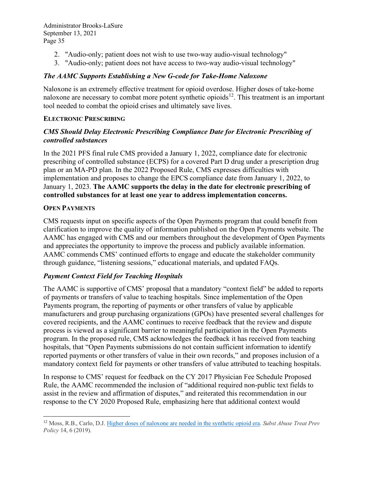- 2. "Audio-only; patient does not wish to use two-way audio-visual technology"
- 3. "Audio-only; patient does not have access to two-way audio-visual technology"

#### *The AAMC Supports Establishing a New G-code for Take-Home Naloxone*

Naloxone is an extremely effective treatment for opioid overdose. Higher doses of take-home naloxone are necessary to combat more potent synthetic opioids<sup>12</sup>. This treatment is an important tool needed to combat the opioid crises and ultimately save lives.

#### **ELECTRONIC PRESCRIBING**

## *CMS Should Delay Electronic Prescribing Compliance Date for Electronic Prescribing of controlled substances*

In the 2021 PFS final rule CMS provided a January 1, 2022, compliance date for electronic prescribing of controlled substance (ECPS) for a covered Part D drug under a prescription drug plan or an MA-PD plan. In the 2022 Proposed Rule, CMS expresses difficulties with implementation and proposes to change the EPCS compliance date from January 1, 2022, to January 1, 2023. **The AAMC supports the delay in the date for electronic prescribing of controlled substances for at least one year to address implementation concerns.**

#### **OPEN PAYMENTS**

CMS requests input on specific aspects of the Open Payments program that could benefit from clarification to improve the quality of information published on the Open Payments website. The AAMC has engaged with CMS and our members throughout the development of Open Payments and appreciates the opportunity to improve the process and publicly available information. AAMC commends CMS' continued efforts to engage and educate the stakeholder community through guidance, "listening sessions," educational materials, and updated FAQs.

## *Payment Context Field for Teaching Hospitals*

The AAMC is supportive of CMS' proposal that a mandatory "context field" be added to reports of payments or transfers of value to teaching hospitals. Since implementation of the Open Payments program, the reporting of payments or other transfers of value by applicable manufacturers and group purchasing organizations (GPOs) have presented several challenges for covered recipients, and the AAMC continues to receive feedback that the review and dispute process is viewed as a significant barrier to meaningful participation in the Open Payments program. In the proposed rule, CMS acknowledges the feedback it has received from teaching hospitals, that "Open Payments submissions do not contain sufficient information to identify reported payments or other transfers of value in their own records," and proposes inclusion of a mandatory context field for payments or other transfers of value attributed to teaching hospitals.

In response to CMS' request for feedback on the CY 2017 Physician Fee Schedule Proposed Rule, the AAMC recommended the inclusion of "additional required non-public text fields to assist in the review and affirmation of disputes," and reiterated this recommendation in our response to the CY 2020 Proposed Rule, emphasizing here that additional context would

<span id="page-34-0"></span><sup>12</sup> Moss, R.B., Carlo, D.J. [Higher doses of naloxone are needed in the synthetic opioid era.](https://doi.org/10.1186/s13011-019-0195) *Subst Abuse Treat Prev Policy* 14, 6 (2019).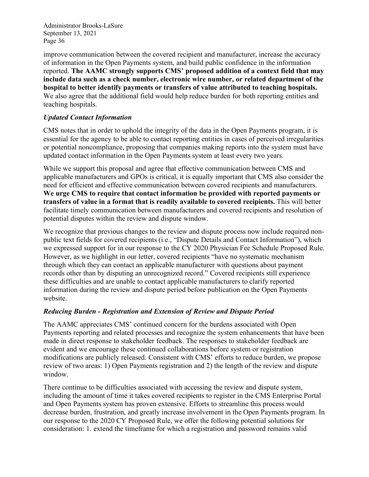improve communication between the covered recipient and manufacturer, increase the accuracy of information in the Open Payments system, and build public confidence in the information reported. **The AAMC strongly supports CMS' proposed addition of a context field that may include data such as a check number, electronic wire number, or related department of the hospital to better identify payments or transfers of value attributed to teaching hospitals.** We also agree that the additional field would help reduce burden for both reporting entities and teaching hospitals.

# *Updated Contact Information*

CMS notes that in order to uphold the integrity of the data in the Open Payments program, it is essential for the agency to be able to contact reporting entities in cases of perceived irregularities or potential noncompliance, proposing that companies making reports into the system must have updated contact information in the Open Payments system at least every two years.

While we support this proposal and agree that effective communication between CMS and applicable manufacturers and GPOs is critical, it is equally important that CMS also consider the need for efficient and effective communication between covered recipients and manufacturers. **We urge CMS to require that contact information be provided with reported payments or transfers of value in a format that is readily available to covered recipients.** This will better facilitate timely communication between manufacturers and covered recipients and resolution of potential disputes within the review and dispute window.

We recognize that previous changes to the review and dispute process now include required nonpublic text fields for covered recipients (i.e., "Dispute Details and Contact Information"), which we expressed support for in our response to the CY 2020 Physician Fee Schedule Proposed Rule. However, as we highlight in our letter, covered recipients "have no systematic mechanism through which they can contact an applicable manufacturer with questions about payment records other than by disputing an unrecognized record." Covered recipients still experience these difficulties and are unable to contact applicable manufacturers to clarify reported information during the review and dispute period before publication on the Open Payments website.

## *Reducing Burden - Registration and Extension of Review and Dispute Period*

The AAMC appreciates CMS' continued concern for the burdens associated with Open Payments reporting and related processes and recognize the system enhancements that have been made in direct response to stakeholder feedback. The responses to stakeholder feedback are evident and we encourage these continued collaborations before system or registration modifications are publicly released. Consistent with CMS' efforts to reduce burden, we propose review of two areas: 1) Open Payments registration and 2) the length of the review and dispute window.

There continue to be difficulties associated with accessing the review and dispute system, including the amount of time it takes covered recipients to register in the CMS Enterprise Portal and Open Payments system has proven extensive. Efforts to streamline this process would decrease burden, frustration, and greatly increase involvement in the Open Payments program. In our response to the 2020 CY Proposed Rule, we offer the following potential solutions for consideration: 1. extend the timeframe for which a registration and password remains valid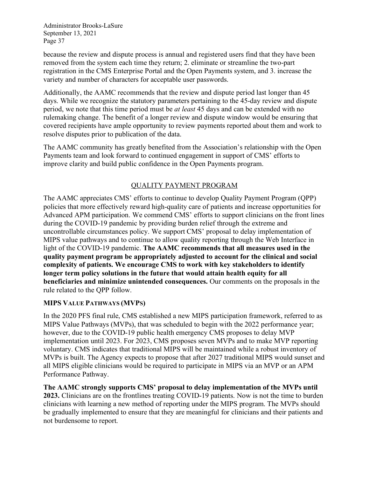because the review and dispute process is annual and registered users find that they have been removed from the system each time they return; 2. eliminate or streamline the two-part registration in the CMS Enterprise Portal and the Open Payments system, and 3. increase the variety and number of characters for acceptable user passwords.

Additionally, the AAMC recommends that the review and dispute period last longer than 45 days. While we recognize the statutory parameters pertaining to the 45-day review and dispute period, we note that this time period must be *at least* 45 days and can be extended with no rulemaking change. The benefit of a longer review and dispute window would be ensuring that covered recipients have ample opportunity to review payments reported about them and work to resolve disputes prior to publication of the data.

The AAMC community has greatly benefited from the Association's relationship with the Open Payments team and look forward to continued engagement in support of CMS' efforts to improve clarity and build public confidence in the Open Payments program.

# QUALITY PAYMENT PROGRAM

The AAMC appreciates CMS' efforts to continue to develop Quality Payment Program (QPP) policies that more effectively reward high-quality care of patients and increase opportunities for Advanced APM participation. We commend CMS' efforts to support clinicians on the front lines during the COVID-19 pandemic by providing burden relief through the extreme and uncontrollable circumstances policy. We support CMS' proposal to delay implementation of MIPS value pathways and to continue to allow quality reporting through the Web Interface in light of the COVID-19 pandemic. **The AAMC recommends that all measures used in the quality payment program be appropriately adjusted to account for the clinical and social complexity of patients. We encourage CMS to work with key stakeholders to identify longer term policy solutions in the future that would attain health equity for all beneficiaries and minimize unintended consequences.** Our comments on the proposals in the rule related to the QPP follow.

## **MIPS VALUE PATHWAYS (MVPS)**

In the 2020 PFS final rule, CMS established a new MIPS participation framework, referred to as MIPS Value Pathways (MVPs), that was scheduled to begin with the 2022 performance year; however, due to the COVID-19 public health emergency CMS proposes to delay MVP implementation until 2023. For 2023, CMS proposes seven MVPs and to make MVP reporting voluntary. CMS indicates that traditional MIPS will be maintained while a robust inventory of MVPs is built. The Agency expects to propose that after 2027 traditional MIPS would sunset and all MIPS eligible clinicians would be required to participate in MIPS via an MVP or an APM Performance Pathway.

**The AAMC strongly supports CMS' proposal to delay implementation of the MVPs until 2023.** Clinicians are on the frontlines treating COVID-19 patients. Now is not the time to burden clinicians with learning a new method of reporting under the MIPS program. The MVPs should be gradually implemented to ensure that they are meaningful for clinicians and their patients and not burdensome to report.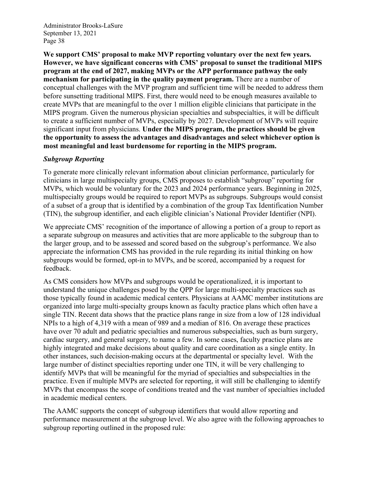**We support CMS' proposal to make MVP reporting voluntary over the next few years. However, we have significant concerns with CMS' proposal to sunset the traditional MIPS program at the end of 2027, making MVPs or the APP performance pathway the only mechanism for participating in the quality payment program.** There are a number of conceptual challenges with the MVP program and sufficient time will be needed to address them before sunsetting traditional MIPS. First, there would need to be enough measures available to create MVPs that are meaningful to the over 1 million eligible clinicians that participate in the MIPS program. Given the numerous physician specialties and subspecialties, it will be difficult to create a sufficient number of MVPs, especially by 2027. Development of MVPs will require significant input from physicians. **Under the MIPS program, the practices should be given the opportunity to assess the advantages and disadvantages and select whichever option is most meaningful and least burdensome for reporting in the MIPS program.** 

## *Subgroup Reporting*

To generate more clinically relevant information about clinician performance, particularly for clinicians in large multispecialty groups, CMS proposes to establish "subgroup" reporting for MVPs, which would be voluntary for the 2023 and 2024 performance years. Beginning in 2025, multispecialty groups would be required to report MVPs as subgroups. Subgroups would consist of a subset of a group that is identified by a combination of the group Tax Identification Number (TIN), the subgroup identifier, and each eligible clinician's National Provider Identifier (NPI).

We appreciate CMS' recognition of the importance of allowing a portion of a group to report as a separate subgroup on measures and activities that are more applicable to the subgroup than to the larger group, and to be assessed and scored based on the subgroup's performance. We also appreciate the information CMS has provided in the rule regarding its initial thinking on how subgroups would be formed, opt-in to MVPs, and be scored, accompanied by a request for feedback.

As CMS considers how MVPs and subgroups would be operationalized, it is important to understand the unique challenges posed by the QPP for large multi-specialty practices such as those typically found in academic medical centers. Physicians at AAMC member institutions are organized into large multi-specialty groups known as faculty practice plans which often have a single TIN. Recent data shows that the practice plans range in size from a low of 128 individual NPIs to a high of 4,319 with a mean of 989 and a median of 816. On average these practices have over 70 adult and pediatric specialties and numerous subspecialties, such as burn surgery, cardiac surgery, and general surgery, to name a few. In some cases, faculty practice plans are highly integrated and make decisions about quality and care coordination as a single entity. In other instances, such decision-making occurs at the departmental or specialty level. With the large number of distinct specialties reporting under one TIN, it will be very challenging to identify MVPs that will be meaningful for the myriad of specialties and subspecialties in the practice. Even if multiple MVPs are selected for reporting, it will still be challenging to identify MVPs that encompass the scope of conditions treated and the vast number of specialties included in academic medical centers.

The AAMC supports the concept of subgroup identifiers that would allow reporting and performance measurement at the subgroup level. We also agree with the following approaches to subgroup reporting outlined in the proposed rule: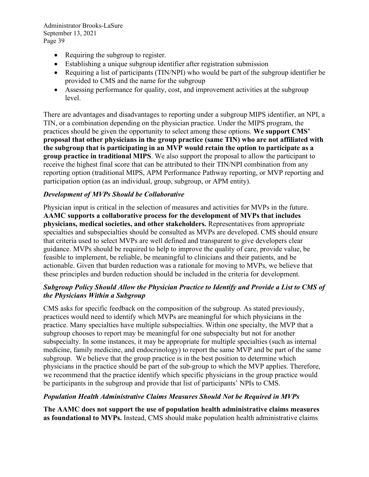- Requiring the subgroup to register.
- Establishing a unique subgroup identifier after registration submission
- Requiring a list of participants (TIN/NPI) who would be part of the subgroup identifier be provided to CMS and the name for the subgroup
- Assessing performance for quality, cost, and improvement activities at the subgroup level.

There are advantages and disadvantages to reporting under a subgroup MIPS identifier, an NPI, a TIN, or a combination depending on the physician practice. Under the MIPS program, the practices should be given the opportunity to select among these options. **We support CMS' proposal that other physicians in the group practice (same TIN) who are not affiliated with the subgroup that is participating in an MVP would retain the option to participate as a group practice in traditional MIPS**. We also support the proposal to allow the participant to receive the highest final score that can be attributed to their TIN/NPI combination from any reporting option (traditional MIPS, APM Performance Pathway reporting, or MVP reporting and participation option (as an individual, group, subgroup, or APM entity).

## *Development of MVPs Should be Collaborative*

Physician input is critical in the selection of measures and activities for MVPs in the future. **AAMC supports a collaborative process for the development of MVPs that includes physicians, medical societies, and other stakeholders.** Representatives from appropriate specialties and subspecialties should be consulted as MVPs are developed. CMS should ensure that criteria used to select MVPs are well defined and transparent to give developers clear guidance. MVPs should be required to help to improve the quality of care, provide value, be feasible to implement, be reliable, be meaningful to clinicians and their patients, and be actionable. Given that burden reduction was a rationale for moving to MVPs, we believe that these principles and burden reduction should be included in the criteria for development.

# *Subgroup Policy Should Allow the Physician Practice to Identify and Provide a List to CMS of the Physicians Within a Subgroup*

CMS asks for specific feedback on the composition of the subgroup. As stated previously, practices would need to identify which MVPs are meaningful for which physicians in the practice. Many specialties have multiple subspecialties. Within one specialty, the MVP that a subgroup chooses to report may be meaningful for one subspecialty but not for another subspecialty. In some instances, it may be appropriate for multiple specialties (such as internal medicine, family medicine, and endocrinology) to report the same MVP and be part of the same subgroup. We believe that the group practice is in the best position to determine which physicians in the practice should be part of the sub-group to which the MVP applies. Therefore, we recommend that the practice identify which specific physicians in the group practice would be participants in the subgroup and provide that list of participants' NPIs to CMS.

## *Population Health Administrative Claims Measures Should Not be Required in MVPs*

**The AAMC does not support the use of population health administrative claims measures as foundational to MVPs.** Instead, CMS should make population health administrative claims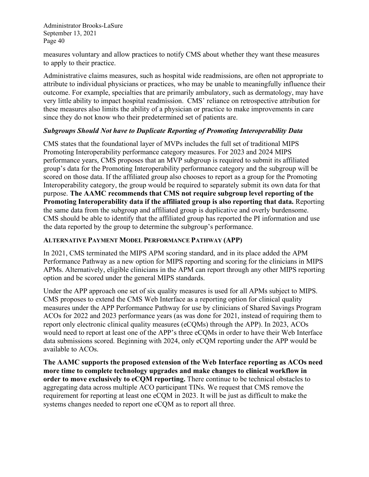measures voluntary and allow practices to notify CMS about whether they want these measures to apply to their practice.

Administrative claims measures, such as hospital wide readmissions, are often not appropriate to attribute to individual physicians or practices, who may be unable to meaningfully influence their outcome. For example, specialties that are primarily ambulatory, such as dermatology, may have very little ability to impact hospital readmission. CMS' reliance on retrospective attribution for these measures also limits the ability of a physician or practice to make improvements in care since they do not know who their predetermined set of patients are.

## *Subgroups Should Not have to Duplicate Reporting of Promoting Interoperability Data*

CMS states that the foundational layer of MVPs includes the full set of traditional MIPS Promoting Interoperability performance category measures. For 2023 and 2024 MIPS performance years, CMS proposes that an MVP subgroup is required to submit its affiliated group's data for the Promoting Interoperability performance category and the subgroup will be scored on those data. If the affiliated group also chooses to report as a group for the Promoting Interoperability category, the group would be required to separately submit its own data for that purpose. **The AAMC recommends that CMS not require subgroup level reporting of the Promoting Interoperability data if the affiliated group is also reporting that data.** Reporting the same data from the subgroup and affiliated group is duplicative and overly burdensome. CMS should be able to identify that the affiliated group has reported the PI information and use the data reported by the group to determine the subgroup's performance.

#### **ALTERNATIVE PAYMENT MODEL PERFORMANCE PATHWAY (APP)**

In 2021, CMS terminated the MIPS APM scoring standard, and in its place added the APM Performance Pathway as a new option for MIPS reporting and scoring for the clinicians in MIPS APMs. Alternatively, eligible clinicians in the APM can report through any other MIPS reporting option and be scored under the general MIPS standards.

Under the APP approach one set of six quality measures is used for all APMs subject to MIPS. CMS proposes to extend the CMS Web Interface as a reporting option for clinical quality measures under the APP Performance Pathway for use by clinicians of Shared Savings Program ACOs for 2022 and 2023 performance years (as was done for 2021, instead of requiring them to report only electronic clinical quality measures (eCQMs) through the APP). In 2023, ACOs would need to report at least one of the APP's three eCQMs in order to have their Web Interface data submissions scored. Beginning with 2024, only eCQM reporting under the APP would be available to ACOs.

**The AAMC supports the proposed extension of the Web Interface reporting as ACOs need more time to complete technology upgrades and make changes to clinical workflow in order to move exclusively to eCQM reporting.** There continue to be technical obstacles to aggregating data across multiple ACO participant TINs. We request that CMS remove the requirement for reporting at least one eCQM in 2023. It will be just as difficult to make the systems changes needed to report one eCQM as to report all three.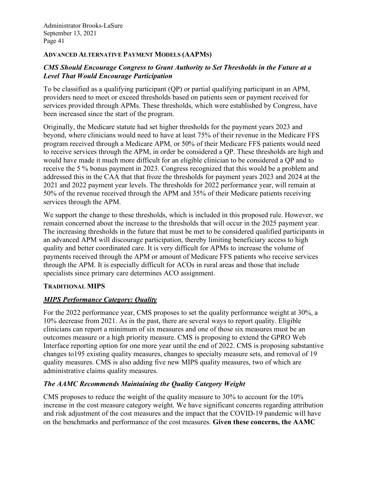#### **ADVANCED ALTERNATIVE PAYMENT MODELS (AAPMS)**

## *CMS Should Encourage Congress to Grant Authority to Set Thresholds in the Future at a Level That Would Encourage Participation*

To be classified as a qualifying participant (QP) or partial qualifying participant in an APM, providers need to meet or exceed thresholds based on patients seen or payment received for services provided through APMs. These thresholds, which were established by Congress, have been increased since the start of the program.

Originally, the Medicare statute had set higher thresholds for the payment years 2023 and beyond, where clinicians would need to have at least 75% of their revenue in the Medicare FFS program received through a Medicare APM, or 50% of their Medicare FFS patients would need to receive services through the APM, in order be considered a QP. These thresholds are high and would have made it much more difficult for an eligible clinician to be considered a QP and to receive the 5 % bonus payment in 2023. Congress recognized that this would be a problem and addressed this in the CAA that that froze the thresholds for payment years 2023 and 2024 at the 2021 and 2022 payment year levels. The thresholds for 2022 performance year, will remain at 50% of the revenue received through the APM and 35% of their Medicare patients receiving services through the APM.

We support the change to these thresholds, which is included in this proposed rule. However, we remain concerned about the increase to the thresholds that will occur in the 2025 payment year. The increasing thresholds in the future that must be met to be considered qualified participants in an advanced APM will discourage participation, thereby limiting beneficiary access to high quality and better coordinated care. It is very difficult for APMs to increase the volume of payments received through the APM or amount of Medicare FFS patients who receive services through the APM. It is especially difficult for ACOs in rural areas and those that include specialists since primary care determines ACO assignment.

#### **TRADITIONAL MIPS**

## *MIPS Performance Category: Quality*

For the 2022 performance year, CMS proposes to set the quality performance weight at 30%, a 10% decrease from 2021. As in the past, there are several ways to report quality. Eligible clinicians can report a minimum of six measures and one of those six measures must be an outcomes measure or a high priority measure. CMS is proposing to extend the GPRO Web Interface reporting option for one more year until the end of 2022. CMS is proposing substantive changes to195 existing quality measures, changes to specialty measure sets, and removal of 19 quality measures. CMS is also adding five new MIPS quality measures, two of which are administrative claims quality measures.

## *The AAMC Recommends Maintaining the Quality Category Weight*

CMS proposes to reduce the weight of the quality measure to 30% to account for the 10% increase in the cost measure category weight. We have significant concerns regarding attribution and risk adjustment of the cost measures and the impact that the COVID-19 pandemic will have on the benchmarks and performance of the cost measures. **Given these concerns, the AAMC**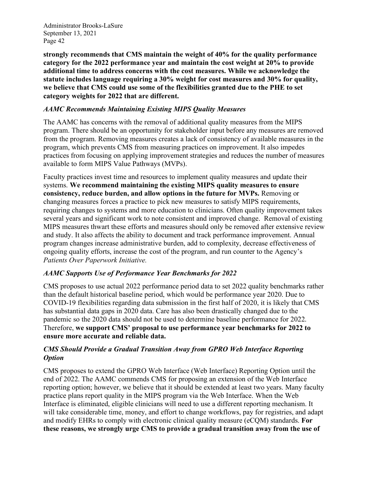**strongly recommends that CMS maintain the weight of 40% for the quality performance category for the 2022 performance year and maintain the cost weight at 20% to provide additional time to address concerns with the cost measures. While we acknowledge the statute includes language requiring a 30% weight for cost measures and 30% for quality, we believe that CMS could use some of the flexibilities granted due to the PHE to set category weights for 2022 that are different.** 

#### *AAMC Recommends Maintaining Existing MIPS Quality Measures*

The AAMC has concerns with the removal of additional quality measures from the MIPS program. There should be an opportunity for stakeholder input before any measures are removed from the program. Removing measures creates a lack of consistency of available measures in the program, which prevents CMS from measuring practices on improvement. It also impedes practices from focusing on applying improvement strategies and reduces the number of measures available to form MIPS Value Pathways (MVPs).

Faculty practices invest time and resources to implement quality measures and update their systems. **We recommend maintaining the existing MIPS quality measures to ensure consistency, reduce burden, and allow options in the future for MVPs.** Removing or changing measures forces a practice to pick new measures to satisfy MIPS requirements, requiring changes to systems and more education to clinicians. Often quality improvement takes several years and significant work to note consistent and improved change. Removal of existing MIPS measures thwart these efforts and measures should only be removed after extensive review and study. It also affects the ability to document and track performance improvement. Annual program changes increase administrative burden, add to complexity, decrease effectiveness of ongoing quality efforts, increase the cost of the program, and run counter to the Agency's *Patients Over Paperwork Initiative.*

#### *AAMC Supports Use of Performance Year Benchmarks for 2022*

CMS proposes to use actual 2022 performance period data to set 2022 quality benchmarks rather than the default historical baseline period, which would be performance year 2020. Due to COVID-19 flexibilities regarding data submission in the first half of 2020, it is likely that CMS has substantial data gaps in 2020 data. Care has also been drastically changed due to the pandemic so the 2020 data should not be used to determine baseline performance for 2022. Therefore, **we support CMS' proposal to use performance year benchmarks for 2022 to ensure more accurate and reliable data.** 

## *CMS Should Provide a Gradual Transition Away from GPRO Web Interface Reporting Option*

CMS proposes to extend the GPRO Web Interface (Web Interface) Reporting Option until the end of 2022. The AAMC commends CMS for proposing an extension of the Web Interface reporting option; however, we believe that it should be extended at least two years. Many faculty practice plans report quality in the MIPS program via the Web Interface. When the Web Interface is eliminated, eligible clinicians will need to use a different reporting mechanism. It will take considerable time, money, and effort to change workflows, pay for registries, and adapt and modify EHRs to comply with electronic clinical quality measure (eCQM) standards. **For these reasons, we strongly urge CMS to provide a gradual transition away from the use of**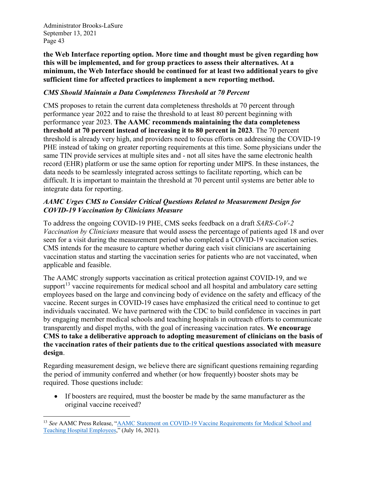**the Web Interface reporting option. More time and thought must be given regarding how this will be implemented, and for group practices to assess their alternatives. At a minimum, the Web Interface should be continued for at least two additional years to give sufficient time for affected practices to implement a new reporting method.**

## *CMS Should Maintain a Data Completeness Threshold at 70 Percent*

CMS proposes to retain the current data completeness thresholds at 70 percent through performance year 2022 and to raise the threshold to at least 80 percent beginning with performance year 2023. **The AAMC recommends maintaining the data completeness threshold at 70 percent instead of increasing it to 80 percent in 2023**. The 70 percent threshold is already very high, and providers need to focus efforts on addressing the COVID-19 PHE instead of taking on greater reporting requirements at this time. Some physicians under the same TIN provide services at multiple sites and - not all sites have the same electronic health record (EHR) platform or use the same option for reporting under MIPS. In these instances, the data needs to be seamlessly integrated across settings to facilitate reporting, which can be difficult. It is important to maintain the threshold at 70 percent until systems are better able to integrate data for reporting.

## *AAMC Urges CMS to Consider Critical Questions Related to Measurement Design for COVID-19 Vaccination by Clinicians Measure*

To address the ongoing COVID-19 PHE, CMS seeks feedback on a draft *SARS-CoV-2 Vaccination by Clinicians* measure that would assess the percentage of patients aged 18 and over seen for a visit during the measurement period who completed a COVID-19 vaccination series. CMS intends for the measure to capture whether during each visit clinicians are ascertaining vaccination status and starting the vaccination series for patients who are not vaccinated, when applicable and feasible.

The AAMC strongly supports vaccination as critical protection against COVID-19, and we support<sup>[13](#page-42-0)</sup> vaccine requirements for medical school and all hospital and ambulatory care setting employees based on the large and convincing body of evidence on the safety and efficacy of the vaccine. Recent surges in COVID-19 cases have emphasized the critical need to continue to get individuals vaccinated. We have partnered with the CDC to build confidence in vaccines in part by engaging member medical schools and teaching hospitals in outreach efforts to communicate transparently and dispel myths, with the goal of increasing vaccination rates. **We encourage CMS to take a deliberative approach to adopting measurement of clinicians on the basis of the vaccination rates of their patients due to the critical questions associated with measure design**.

Regarding measurement design, we believe there are significant questions remaining regarding the period of immunity conferred and whether (or how frequently) booster shots may be required. Those questions include:

• If boosters are required, must the booster be made by the same manufacturer as the original vaccine received?

<span id="page-42-0"></span><sup>&</sup>lt;sup>13</sup> See AAMC Press Release, "AAMC Statement on COVID-19 Vaccine Requirements for Medical School and [Teaching Hospital Employees,](https://www.aamc.org/news-insights/press-releases/aamc-statement-covid-19-vaccine-requirements-medical-school-and-teaching-hospital-employees)" (July 16, 2021).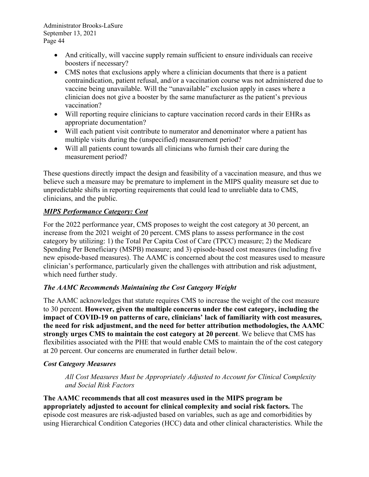- And critically, will vaccine supply remain sufficient to ensure individuals can receive boosters if necessary?
- CMS notes that exclusions apply where a clinician documents that there is a patient contraindication, patient refusal, and/or a vaccination course was not administered due to vaccine being unavailable. Will the "unavailable" exclusion apply in cases where a clinician does not give a booster by the same manufacturer as the patient's previous vaccination?
- Will reporting require clinicians to capture vaccination record cards in their EHRs as appropriate documentation?
- Will each patient visit contribute to numerator and denominator where a patient has multiple visits during the (unspecified) measurement period?
- Will all patients count towards all clinicians who furnish their care during the measurement period?

These questions directly impact the design and feasibility of a vaccination measure, and thus we believe such a measure may be premature to implement in the MIPS quality measure set due to unpredictable shifts in reporting requirements that could lead to unreliable data to CMS, clinicians, and the public.

# *MIPS Performance Category: Cost*

For the 2022 performance year, CMS proposes to weight the cost category at 30 percent, an increase from the 2021 weight of 20 percent. CMS plans to assess performance in the cost category by utilizing: 1) the Total Per Capita Cost of Care (TPCC) measure; 2) the Medicare Spending Per Beneficiary (MSPB) measure; and 3) episode-based cost measures (including five new episode-based measures). The AAMC is concerned about the cost measures used to measure clinician's performance, particularly given the challenges with attribution and risk adjustment, which need further study.

# *The AAMC Recommends Maintaining the Cost Category Weight*

The AAMC acknowledges that statute requires CMS to increase the weight of the cost measure to 30 percent. **However, given the multiple concerns under the cost category, including the impact of COVID-19 on patterns of care, clinicians' lack of familiarity with cost measures, the need for risk adjustment, and the need for better attribution methodologies, the AAMC strongly urges CMS to maintain the cost category at 20 percent**. We believe that CMS has flexibilities associated with the PHE that would enable CMS to maintain the of the cost category at 20 percent. Our concerns are enumerated in further detail below.

# *Cost Category Measures*

*All Cost Measures Must be Appropriately Adjusted to Account for Clinical Complexity and Social Risk Factors*

**The AAMC recommends that all cost measures used in the MIPS program be appropriately adjusted to account for clinical complexity and social risk factors.** The episode cost measures are risk-adjusted based on variables, such as age and comorbidities by using Hierarchical Condition Categories (HCC) data and other clinical characteristics. While the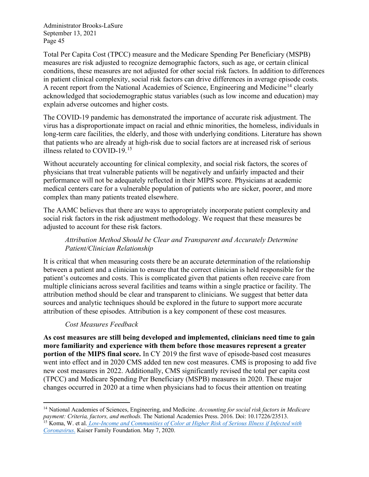Total Per Capita Cost (TPCC) measure and the Medicare Spending Per Beneficiary (MSPB) measures are risk adjusted to recognize demographic factors, such as age, or certain clinical conditions, these measures are not adjusted for other social risk factors. In addition to differences in patient clinical complexity, social risk factors can drive differences in average episode costs. A recent report from the National Academies of Science, Engineering and Medicine<sup>[14](#page-44-0)</sup> clearly acknowledged that sociodemographic status variables (such as low income and education) may explain adverse outcomes and higher costs.

The COVID-19 pandemic has demonstrated the importance of accurate risk adjustment. The virus has a disproportionate impact on racial and ethnic minorities, the homeless, individuals in long-term care facilities, the elderly, and those with underlying conditions. Literature has shown that patients who are already at high-risk due to social factors are at increased risk of serious illness related to COVID-19.[15](#page-44-1)

Without accurately accounting for clinical complexity, and social risk factors, the scores of physicians that treat vulnerable patients will be negatively and unfairly impacted and their performance will not be adequately reflected in their MIPS score. Physicians at academic medical centers care for a vulnerable population of patients who are sicker, poorer, and more complex than many patients treated elsewhere.

The AAMC believes that there are ways to appropriately incorporate patient complexity and social risk factors in the risk adjustment methodology. We request that these measures be adjusted to account for these risk factors.

# *Attribution Method Should be Clear and Transparent and Accurately Determine Patient/Clinician Relationship*

It is critical that when measuring costs there be an accurate determination of the relationship between a patient and a clinician to ensure that the correct clinician is held responsible for the patient's outcomes and costs. This is complicated given that patients often receive care from multiple clinicians across several facilities and teams within a single practice or facility. The attribution method should be clear and transparent to clinicians. We suggest that better data sources and analytic techniques should be explored in the future to support more accurate attribution of these episodes. Attribution is a key component of these cost measures.

# *Cost Measures Feedback*

**As cost measures are still being developed and implemented, clinicians need time to gain more familiarity and experience with them before those measures represent a greater portion of the MIPS final score.** In CY 2019 the first wave of episode-based cost measures went into effect and in 2020 CMS added ten new cost measures. CMS is proposing to add five new cost measures in 2022. Additionally, CMS significantly revised the total per capita cost (TPCC) and Medicare Spending Per Beneficiary (MSPB) measures in 2020. These major changes occurred in 2020 at a time when physicians had to focus their attention on treating

<span id="page-44-1"></span><span id="page-44-0"></span><sup>14</sup> National Academies of Sciences, Engineering, and Medicine. *Accounting for social risk factors in Medicare payment: Criteria, factors, and methods*. The National Academies Press. 2016. Doi: 10.17226/23513. <sup>15</sup> Koma, W. et al. *[Low-Income and Communities of Color at Higher Risk of Serious Illness if Infected with](https://www.kff.org/coronavirus-covid-19/issue-brief/low-income-and-communities-of-color-at-higher-risk-of-serious-illness-if-infected-with-coronavirus/)  [Coronavirus](https://www.kff.org/coronavirus-covid-19/issue-brief/low-income-and-communities-of-color-at-higher-risk-of-serious-illness-if-infected-with-coronavirus/)*. Kaiser Family Foundation. May 7, 2020.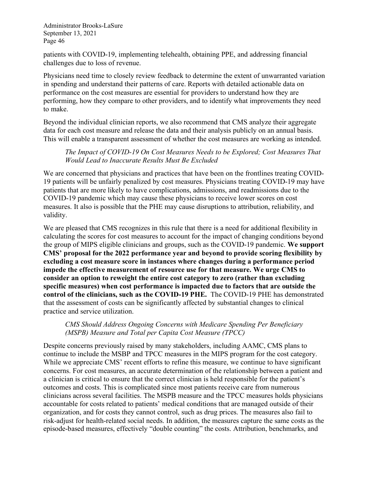patients with COVID-19, implementing telehealth, obtaining PPE, and addressing financial challenges due to loss of revenue.

Physicians need time to closely review feedback to determine the extent of unwarranted variation in spending and understand their patterns of care. Reports with detailed actionable data on performance on the cost measures are essential for providers to understand how they are performing, how they compare to other providers, and to identify what improvements they need to make.

Beyond the individual clinician reports, we also recommend that CMS analyze their aggregate data for each cost measure and release the data and their analysis publicly on an annual basis. This will enable a transparent assessment of whether the cost measures are working as intended.

## *The Impact of COVID-19 On Cost Measures Needs to be Explored; Cost Measures That Would Lead to Inaccurate Results Must Be Excluded*

We are concerned that physicians and practices that have been on the frontlines treating COVID-19 patients will be unfairly penalized by cost measures. Physicians treating COVID-19 may have patients that are more likely to have complications, admissions, and readmissions due to the COVID-19 pandemic which may cause these physicians to receive lower scores on cost measures. It also is possible that the PHE may cause disruptions to attribution, reliability, and validity.

We are pleased that CMS recognizes in this rule that there is a need for additional flexibility in calculating the scores for cost measures to account for the impact of changing conditions beyond the group of MIPS eligible clinicians and groups, such as the COVID-19 pandemic. **We support CMS' proposal for the 2022 performance year and beyond to provide scoring flexibility by excluding a cost measure score in instances where changes during a performance period impede the effective measurement of resource use for that measure. We urge CMS to consider an option to reweight the entire cost category to zero (rather than excluding specific measures) when cost performance is impacted due to factors that are outside the control of the clinicians, such as the COVID-19 PHE.** The COVID-19 PHE has demonstrated that the assessment of costs can be significantly affected by substantial changes to clinical practice and service utilization.

## *CMS Should Address Ongoing Concerns with Medicare Spending Per Beneficiary (MSPB) Measure and Total per Capita Cost Measure (TPCC)*

Despite concerns previously raised by many stakeholders, including AAMC, CMS plans to continue to include the MSBP and TPCC measures in the MIPS program for the cost category. While we appreciate CMS' recent efforts to refine this measure, we continue to have significant concerns. For cost measures, an accurate determination of the relationship between a patient and a clinician is critical to ensure that the correct clinician is held responsible for the patient's outcomes and costs. This is complicated since most patients receive care from numerous clinicians across several facilities. The MSPB measure and the TPCC measures holds physicians accountable for costs related to patients' medical conditions that are managed outside of their organization, and for costs they cannot control, such as drug prices. The measures also fail to risk-adjust for health-related social needs. In addition, the measures capture the same costs as the episode-based measures, effectively "double counting" the costs. Attribution, benchmarks, and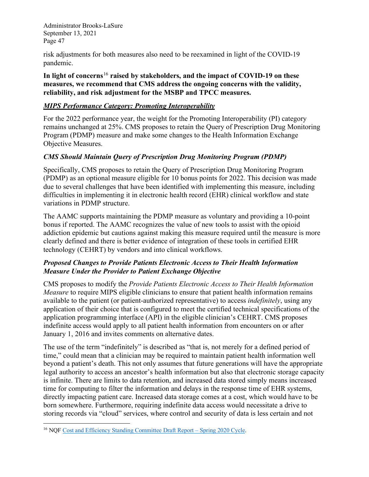risk adjustments for both measures also need to be reexamined in light of the COVID-19 pandemic.

**In light of concerns**[16](#page-46-0) **raised by stakeholders, and the impact of COVID-19 on these measures, we recommend that CMS address the ongoing concerns with the validity, reliability, and risk adjustment for the MSBP and TPCC measures.**

## *MIPS Performance Category: Promoting Interoperability*

For the 2022 performance year, the weight for the Promoting Interoperability (PI) category remains unchanged at 25%. CMS proposes to retain the Query of Prescription Drug Monitoring Program (PDMP) measure and make some changes to the Health Information Exchange Objective Measures.

# *CMS Should Maintain Query of Prescription Drug Monitoring Program (PDMP)*

Specifically, CMS proposes to retain the Query of Prescription Drug Monitoring Program (PDMP) as an optional measure eligible for 10 bonus points for 2022. This decision was made due to several challenges that have been identified with implementing this measure, including difficulties in implementing it in electronic health record (EHR) clinical workflow and state variations in PDMP structure.

The AAMC supports maintaining the PDMP measure as voluntary and providing a 10-point bonus if reported. The AAMC recognizes the value of new tools to assist with the opioid addiction epidemic but cautions against making this measure required until the measure is more clearly defined and there is better evidence of integration of these tools in certified EHR technology (CEHRT) by vendors and into clinical workflows.

## *Proposed Changes to Provide Patients Electronic Access to Their Health Information Measure Under the Provider to Patient Exchange Objective*

CMS proposes to modify the *Provide Patients Electronic Access to Their Health Information Measure* to require MIPS eligible clinicians to ensure that patient health information remains available to the patient (or patient-authorized representative) to access *indefinitely*, using any application of their choice that is configured to meet the certified technical specifications of the application programming interface (API) in the eligible clinician's CEHRT. CMS proposes indefinite access would apply to all patient health information from encounters on or after January 1, 2016 and invites comments on alternative dates.

The use of the term "indefinitely" is described as "that is, not merely for a defined period of time," could mean that a clinician may be required to maintain patient health information well beyond a patient's death. This not only assumes that future generations will have the appropriate legal authority to access an ancestor's health information but also that electronic storage capacity is infinite. There are limits to data retention, and increased data stored simply means increased time for computing to filter the information and delays in the response time of EHR systems, directly impacting patient care. Increased data storage comes at a cost, which would have to be born somewhere. Furthermore, requiring indefinite data access would necessitate a drive to storing records via "cloud" services, where control and security of data is less certain and not

<span id="page-46-0"></span><sup>16</sup> NQ[F Cost and Efficiency Standing Committee Draft Report –](http://www.qualityforum.org/WorkArea/linkit.aspx?LinkIdentifier=id&ItemID=93518) Spring 2020 Cycle.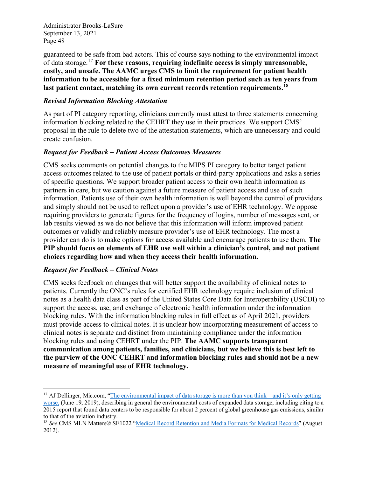guaranteed to be safe from bad actors. This of course says nothing to the environmental impact of data storage.[17](#page-47-0) **For these reasons, requiring indefinite access is simply unreasonable, costly, and unsafe. The AAMC urges CMS to limit the requirement for patient health information to be accessible for a fixed minimum retention period such as ten years from last patient contact, matching its own current records retention requirements.[18](#page-47-1)**

#### *Revised Information Blocking Attestation*

As part of PI category reporting, clinicians currently must attest to three statements concerning information blocking related to the CEHRT they use in their practices. We support CMS' proposal in the rule to delete two of the attestation statements, which are unnecessary and could create confusion.

#### *Request for Feedback – Patient Access Outcomes Measures*

CMS seeks comments on potential changes to the MIPS PI category to better target patient access outcomes related to the use of patient portals or third-party applications and asks a series of specific questions. We support broader patient access to their own health information as partners in care, but we caution against a future measure of patient access and use of such information. Patients use of their own health information is well beyond the control of providers and simply should not be used to reflect upon a provider's use of EHR technology. We oppose requiring providers to generate figures for the frequency of logins, number of messages sent, or lab results viewed as we do not believe that this information will inform improved patient outcomes or validly and reliably measure provider's use of EHR technology. The most a provider can do is to make options for access available and encourage patients to use them. **The PIP should focus on elements of EHR use well within a clinician's control, and not patient choices regarding how and when they access their health information.**

#### *Request for Feedback – Clinical Notes*

CMS seeks feedback on changes that will better support the availability of clinical notes to patients. Currently the ONC's rules for certified EHR technology require inclusion of clinical notes as a health data class as part of the United States Core Data for Interoperability (USCDI) to support the access, use, and exchange of electronic health information under the information blocking rules. With the information blocking rules in full effect as of April 2021, providers must provide access to clinical notes. It is unclear how incorporating measurement of access to clinical notes is separate and distinct from maintaining compliance under the information blocking rules and using CEHRT under the PIP. **The AAMC supports transparent communication among patients, families, and clinicians, but we believe this is best left to the purview of the ONC CEHRT and information blocking rules and should not be a new measure of meaningful use of EHR technology.**

<span id="page-47-0"></span><sup>&</sup>lt;sup>17</sup> AJ Dellinger, Mic.com, ["The environmental impact of data storage is more than you think –](https://www.mic.com/p/the-environmental-impact-of-data-storage-is-more-than-you-think-its-only-getting-worse-18017662) and it's only getting [worse,](https://www.mic.com/p/the-environmental-impact-of-data-storage-is-more-than-you-think-its-only-getting-worse-18017662) (June 19, 2019), describing in general the environmental costs of expanded data storage, including citing to a 2015 report that found data centers to be responsible for about 2 percent of global greenhouse gas emissions, similar to that of the aviation industry.

<span id="page-47-1"></span><sup>&</sup>lt;sup>18</sup> See CMS MLN Matters® SE1022 ["Medical Record Retention and Media Formats for Medical Records"](https://www.cms.gov/outreach-and-education/medicare-learning-network-mln/mlnmattersarticles/downloads/se1022.pdf) (August 2012).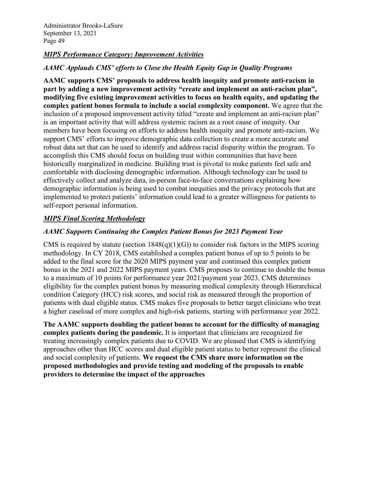## *MIPS Performance Category: Improvement Activities*

# *AAMC Applauds CMS' efforts to Close the Health Equity Gap in Quality Programs*

**AAMC supports CMS' proposals to address health inequity and promote anti-racism in part by adding a new improvement activity "create and implement an anti-racism plan", modifying five existing improvement activities to focus on health equity, and updating the complex patient bonus formula to include a social complexity component.** We agree that the inclusion of a proposed improvement activity titled "create and implement an anti-racism plan" is an important activity that will address systemic racism as a root cause of inequity. Our members have been focusing on efforts to address health inequity and promote anti-racism. We support CMS' efforts to improve demographic data collection to create a more accurate and robust data set that can be used to identify and address racial disparity within the program. To accomplish this CMS should focus on building trust within communities that have been historically marginalized in medicine. Building trust is pivotal to make patients feel safe and comfortable with disclosing demographic information. Although technology can be used to effectively collect and analyze data, in-person face-to-face conversations explaining how demographic information is being used to combat inequities and the privacy protocols that are implemented to protect patients' information could lead to a greater willingness for patients to self-report personal information.

## *MIPS Final Scoring Methodology*

#### *AAMC Supports Continuing the Complex Patient Bonus for 2023 Payment Year*

CMS is required by statute (section  $1848(q)(1)(G)$ ) to consider risk factors in the MIPS scoring methodology. In CY 2018, CMS established a complex patient bonus of up to 5 points to be added to the final score for the 2020 MIPS payment year and continued this complex patient bonus in the 2021 and 2022 MIPS payment years. CMS proposes to continue to double the bonus to a maximum of 10 points for performance year 2021/payment year 2023. CMS determines eligibility for the complex patient bonus by measuring medical complexity through Hierarchical condition Category (HCC) risk scores, and social risk as measured through the proportion of patients with dual eligible status. CMS makes five proposals to better target clinicians who treat a higher caseload of more complex and high-risk patients, starting with performance year 2022.

**The AAMC supports doubling the patient bonus to account for the difficulty of managing complex patients during the pandemic.** It is important that clinicians are recognized for treating increasingly complex patients due to COVID. We are pleased that CMS is identifying approaches other than HCC scores and dual eligible patient status to better represent the clinical and social complexity of patients. **We request the CMS share more information on the proposed methodologies and provide testing and modeling of the proposals to enable providers to determine the impact of the approaches**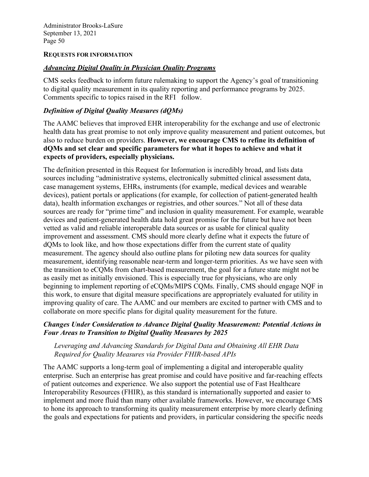#### **REQUESTS FOR INFORMATION**

#### *Advancing Digital Quality in Physician Quality Programs*

CMS seeks feedback to inform future rulemaking to support the Agency's goal of transitioning to digital quality measurement in its quality reporting and performance programs by 2025. Comments specific to topics raised in the RFI follow.

#### *Definition of Digital Quality Measures (dQMs)*

The AAMC believes that improved EHR interoperability for the exchange and use of electronic health data has great promise to not only improve quality measurement and patient outcomes, but also to reduce burden on providers. **However, we encourage CMS to refine its definition of dQMs and set clear and specific parameters for what it hopes to achieve and what it expects of providers, especially physicians.**

The definition presented in this Request for Information is incredibly broad, and lists data sources including "administrative systems, electronically submitted clinical assessment data, case management systems, EHRs, instruments (for example, medical devices and wearable devices), patient portals or applications (for example, for collection of patient-generated health data), health information exchanges or registries, and other sources." Not all of these data sources are ready for "prime time" and inclusion in quality measurement. For example, wearable devices and patient-generated health data hold great promise for the future but have not been vetted as valid and reliable interoperable data sources or as usable for clinical quality improvement and assessment. CMS should more clearly define what it expects the future of dQMs to look like, and how those expectations differ from the current state of quality measurement. The agency should also outline plans for piloting new data sources for quality measurement, identifying reasonable near-term and longer-term priorities. As we have seen with the transition to eCQMs from chart-based measurement, the goal for a future state might not be as easily met as initially envisioned. This is especially true for physicians, who are only beginning to implement reporting of eCQMs/MIPS CQMs. Finally, CMS should engage NQF in this work, to ensure that digital measure specifications are appropriately evaluated for utility in improving quality of care. The AAMC and our members are excited to partner with CMS and to collaborate on more specific plans for digital quality measurement for the future.

## *Changes Under Consideration to Advance Digital Quality Measurement: Potential Actions in Four Areas to Transition to Digital Quality Measures by 2025*

#### *Leveraging and Advancing Standards for Digital Data and Obtaining All EHR Data Required for Quality Measures via Provider FHIR-based APIs*

The AAMC supports a long-term goal of implementing a digital and interoperable quality enterprise. Such an enterprise has great promise and could have positive and far-reaching effects of patient outcomes and experience. We also support the potential use of Fast Healthcare Interoperability Resources (FHIR), as this standard is internationally supported and easier to implement and more fluid than many other available frameworks. However, we encourage CMS to hone its approach to transforming its quality measurement enterprise by more clearly defining the goals and expectations for patients and providers, in particular considering the specific needs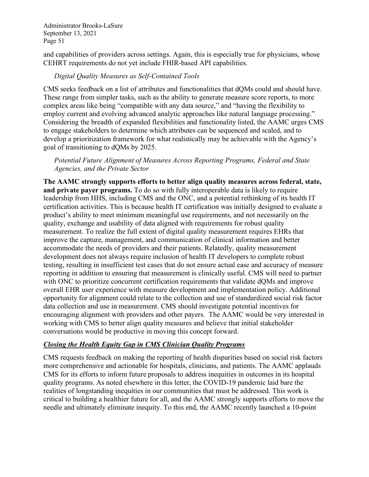and capabilities of providers across settings. Again, this is especially true for physicians, whose CEHRT requirements do not yet include FHIR-based API capabilities.

#### *Digital Quality Measures as Self-Contained Tools*

CMS seeks feedback on a list of attributes and functionalities that dQMs could and should have. These range from simpler tasks, such as the ability to generate measure score reports, to more complex areas like being "compatible with any data source," and "having the flexibility to employ current and evolving advanced analytic approaches like natural language processing." Considering the breadth of expanded flexibilities and functionality listed, the AAMC urges CMS to engage stakeholders to determine which attributes can be sequenced and scaled, and to develop a prioritization framework for what realistically may be achievable with the Agency's goal of transitioning to dQMs by 2025.

#### *Potential Future Alignment of Measures Across Reporting Programs, Federal and State Agencies, and the Private Sector*

**The AAMC strongly supports efforts to better align quality measures across federal, state, and private payer programs.** To do so with fully interoperable data is likely to require leadership from HHS, including CMS and the ONC, and a potential rethinking of its health IT certification activities. This is because health IT certification was initially designed to evaluate a product's ability to meet minimum meaningful use requirements, and not necessarily on the quality, exchange and usability of data aligned with requirements for robust quality measurement. To realize the full extent of digital quality measurement requires EHRs that improve the capture, management, and communication of clinical information and better accommodate the needs of providers and their patients. Relatedly, quality measurement development does not always require inclusion of health IT developers to complete robust testing, resulting in insufficient test cases that do not ensure actual ease and accuracy of measure reporting in addition to ensuring that measurement is clinically useful. CMS will need to partner with ONC to prioritize concurrent certification requirements that validate dQMs and improve overall EHR user experience with measure development and implementation policy. Additional opportunity for alignment could relate to the collection and use of standardized social risk factor data collection and use in measurement. CMS should investigate potential incentives for encouraging alignment with providers and other payers. The AAMC would be very interested in working with CMS to better align quality measures and believe that initial stakeholder conversations would be productive in moving this concept forward.

## *Closing the Health Equity Gap in CMS Clinician Quality Programs*

CMS requests feedback on making the reporting of health disparities based on social risk factors more comprehensive and actionable for hospitals, clinicians, and patients. The AAMC applauds CMS for its efforts to inform future proposals to address inequities in outcomes in its hospital quality programs. As noted elsewhere in this letter, the COVID-19 pandemic laid bare the realities of longstanding inequities in our communities that must be addressed. This work is critical to building a healthier future for all, and the AAMC strongly supports efforts to move the needle and ultimately eliminate inequity. To this end, the AAMC recently launched a 10-point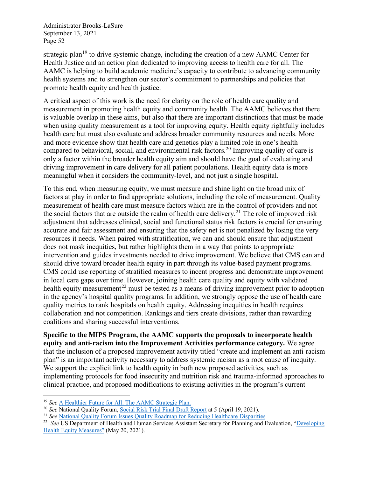strategic plan<sup>[19](#page-51-0)</sup> to drive systemic change, including the creation of a new AAMC Center for Health Justice and an action plan dedicated to improving access to health care for all. The AAMC is helping to build academic medicine's capacity to contribute to advancing community health systems and to strengthen our sector's commitment to partnerships and policies that promote health equity and health justice.

A critical aspect of this work is the need for clarity on the role of health care quality and measurement in promoting health equity and community health. The AAMC believes that there is valuable overlap in these aims, but also that there are important distinctions that must be made when using quality measurement as a tool for improving equity. Health equity rightfully includes health care but must also evaluate and address broader community resources and needs. More and more evidence show that health care and genetics play a limited role in one's health compared to behavioral, social, and environmental risk factors.<sup>[20](#page-51-1)</sup> Improving quality of care is only a factor within the broader health equity aim and should have the goal of evaluating and driving improvement in care delivery for all patient populations. Health equity data is more meaningful when it considers the community-level, and not just a single hospital.

To this end, when measuring equity, we must measure and shine light on the broad mix of factors at play in order to find appropriate solutions, including the role of measurement. Quality measurement of health care must measure factors which are in the control of providers and not the social factors that are outside the realm of health care delivery.<sup>[21](#page-51-2)</sup> The role of improved risk adjustment that addresses clinical, social and functional status risk factors is crucial for ensuring accurate and fair assessment and ensuring that the safety net is not penalized by losing the very resources it needs. When paired with stratification, we can and should ensure that adjustment does not mask inequities, but rather highlights them in a way that points to appropriate intervention and guides investments needed to drive improvement. We believe that CMS can and should drive toward broader health equity in part through its value-based payment programs. CMS could use reporting of stratified measures to incent progress and demonstrate improvement in local care gaps over time. However, joining health care quality and equity with validated health equity measurement<sup>[22](#page-51-3)</sup> must be tested as a means of driving improvement prior to adoption in the agency's hospital quality programs. In addition, we strongly oppose the use of health care quality metrics to rank hospitals on health equity. Addressing inequities in health requires collaboration and not competition. Rankings and tiers create divisions, rather than rewarding coalitions and sharing successful interventions.

**Specific to the MIPS Program, the AAMC supports the proposals to incorporate health equity and anti-racism into the Improvement Activities performance category.** We agree that the inclusion of a proposed improvement activity titled "create and implement an anti-racism plan" is an important activity necessary to address systemic racism as a root cause of inequity. We support the explicit link to health equity in both new proposed activities, such as implementing protocols for food insecurity and nutrition risk and trauma-informed approaches to clinical practice, and proposed modifications to existing activities in the program's current

<span id="page-51-0"></span><sup>&</sup>lt;sup>19</sup> *See* <u>[A Healthier Future for All: The AAMC Strategic Plan.](https://strategicplan.aamc.org/)</u><br><sup>20</sup> *See* National Quality Forum, Social Risk Trial Final Draft Report at 5 (April 19, 2021).

<span id="page-51-2"></span><span id="page-51-1"></span><sup>&</sup>lt;sup>21</sup> *See* [National Quality Forum Issues Quality Roadmap for Reducing Healthcare Disparities](https://www.qualityforum.org/NQFs_Roadmap_to_Health_Equity.aspx)

<span id="page-51-3"></span><sup>&</sup>lt;sup>22</sup> *See* US Department of Health and Human Services Assistant Secretary for Planning and Evaluation, "Developing [Health Equity Measures"](https://aspe.hhs.gov/pdf-report/developing-health-equity-measures) (May 20, 2021).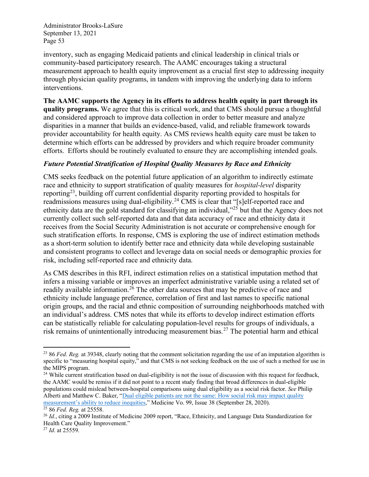inventory, such as engaging Medicaid patients and clinical leadership in clinical trials or community-based participatory research. The AAMC encourages taking a structural measurement approach to health equity improvement as a crucial first step to addressing inequity through physician quality programs, in tandem with improving the underlying data to inform interventions.

**The AAMC supports the Agency in its efforts to address health equity in part through its quality programs.** We agree that this is critical work, and that CMS should pursue a thoughtful and considered approach to improve data collection in order to better measure and analyze disparities in a manner that builds an evidence-based, valid, and reliable framework towards provider accountability for health equity. As CMS reviews health equity care must be taken to determine which efforts can be addressed by providers and which require broader community efforts. Efforts should be routinely evaluated to ensure they are accomplishing intended goals.

# *Future Potential Stratification of Hospital Quality Measures by Race and Ethnicity*

CMS seeks feedback on the potential future application of an algorithm to indirectly estimate race and ethnicity to support stratification of quality measures for *hospital-level* disparity reporting<sup>23</sup>, building off current confidential disparity reporting provided to hospitals for readmissions measures using dual-eligibility.[24](#page-52-1) CMS is clear that "[s]elf-reported race and ethnicity data are the gold standard for classifying an individual,"[25](#page-52-2) but that the Agency does not currently collect such self-reported data and that data accuracy of race and ethnicity data it receives from the Social Security Administration is not accurate or comprehensive enough for such stratification efforts. In response, CMS is exploring the use of indirect estimation methods as a short-term solution to identify better race and ethnicity data while developing sustainable and consistent programs to collect and leverage data on social needs or demographic proxies for risk, including self-reported race and ethnicity data.

As CMS describes in this RFI, indirect estimation relies on a statistical imputation method that infers a missing variable or improves an imperfect administrative variable using a related set of readily available information.<sup>[26](#page-52-3)</sup> The other data sources that may be predictive of race and ethnicity include language preference, correlation of first and last names to specific national origin groups, and the racial and ethnic composition of surrounding neighborhoods matched with an individual's address. CMS notes that while its efforts to develop indirect estimation efforts can be statistically reliable for calculating population-level results for groups of individuals, a risk remains of unintentionally introducing measurement bias.<sup>[27](#page-52-4)</sup> The potential harm and ethical

<span id="page-52-0"></span><sup>&</sup>lt;sup>23</sup> 86 *Fed. Reg.* at 39348, clearly noting that the comment solicitation regarding the use of an imputation algorithm is specific to "measuring hospital equity," and that CMS is not seeking feedback on the use of such a method for use in the MIPS program.

<span id="page-52-1"></span><sup>&</sup>lt;sup>24</sup> While current stratification based on dual-eligibility is not the issue of discussion with this request for feedback, the AAMC would be remiss if it did not point to a recent study finding that broad differences in dual-eligible populations could mislead between-hospital comparisons using dual eligibility as a social risk factor. *See* Philip Alberti and Matthew C. Baker, ["Dual eligible patients are not the same: How social risk may impact quality](https://journals.lww.com/md-journal/Fulltext/2020/09180/Dual_eligible_patients_are_not_the_same__How.68.aspx)  measure[ment's ability to reduce inequities](https://journals.lww.com/md-journal/Fulltext/2020/09180/Dual_eligible_patients_are_not_the_same__How.68.aspx)," Medicine Vo. 99, Issue 38 (September 28, 2020).<br><sup>25</sup> 86 Fed. Reg. at 25558.

<span id="page-52-3"></span><span id="page-52-2"></span><sup>&</sup>lt;sup>26</sup> *Id.*, citing a 2009 Institute of Medicine 2009 report, "Race, Ethnicity, and Language Data Standardization for Health Care Quality Improvement."

<span id="page-52-4"></span><sup>27</sup> *Id*. at 25559.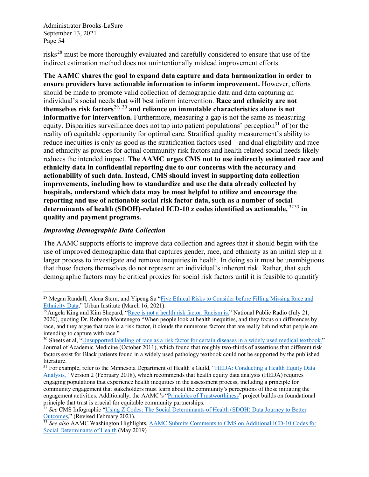risks<sup>[28](#page-53-0)</sup> must be more thoroughly evaluated and carefully considered to ensure that use of the indirect estimation method does not unintentionally mislead improvement efforts.

**The AAMC shares the goal to expand data capture and data harmonization in order to ensure providers have actionable information to inform improvement.** However, efforts should be made to promote valid collection of demographic data and data capturing an individual's social needs that will best inform intervention. **Race and ethnicity are not themselves risk factors**[29](#page-53-1)**,** [30](#page-53-2) **and reliance on immutable characteristics alone is not informative for intervention.** Furthermore, measuring a gap is not the same as measuring equity. Disparities surveillance does not tap into patient populations' perception<sup>[31](#page-53-3)</sup> of (or the reality of) equitable opportunity for optimal care. Stratified quality measurement's ability to reduce inequities is only as good as the stratification factors used – and dual eligibility and race and ethnicity as proxies for actual community risk factors and health-related social needs likely reduces the intended impact. **The AAMC urges CMS not to use indirectly estimated race and ethnicity data in confidential reporting due to our concerns with the accuracy and actionability of such data. Instead, CMS should invest in supporting data collection improvements, including how to standardize and use the data already collected by hospitals, understand which data may be most helpful to utilize and encourage the reporting and use of actionable social risk factor data, such as a number of social determinants of health (SDOH)-related ICD-10 z codes identified as actionable,** [32](#page-53-4)[33](#page-53-5) **in quality and payment programs.**

## *Improving Demographic Data Collection*

The AAMC supports efforts to improve data collection and agrees that it should begin with the use of improved demographic data that captures gender, race, and ethnicity as an initial step in a larger process to investigate and remove inequities in health. In doing so it must be unambiguous that those factors themselves do not represent an individual's inherent risk. Rather, that such demographic factors may be critical proxies for social risk factors until it is feasible to quantify

<span id="page-53-0"></span><sup>&</sup>lt;sup>28</sup> Megan Randall, Alena Stern, and Yipeng Su "Five Ethical Risks to Consider before Filling Missing Race and [Ethnicity Data,](https://www.urban.org/research/publication/five-ethical-risks-consider-filling-missing-race-and-ethnicity-data)" Urban Institute (March 16, 2021).

<span id="page-53-1"></span> $^{29}$ Angela King and Kim Shepard, ["Race is not a health risk factor. Racism is."](https://www.kuow.org/stories/race-is-not-a-health-risk-factor-racism-is) National Public Radio (July 21, 2020), quoting Dr. Roberto Montenegro "When people look at health inequities, and they focus on differences by race, and they argue that race is a risk factor, it clouds the numerous factors that are really behind what people are intending to capture with race."

<span id="page-53-2"></span><sup>&</sup>lt;sup>30</sup> Sheets et al, ["Unsupported labeling of race as a risk factor for certain diseases in a widely used medical textbook."](https://pubmed.ncbi.nlm.nih.gov/21869670/) Journal of Academic Medicine (October 2011), which found that roughly two-thirds of assertions that different risk factors exist for Black patients found in a widely used pathology textbook could not be supported by the published literature.

<span id="page-53-3"></span><sup>&</sup>lt;sup>31</sup> For example, refer to the Minnesota Department of Health's Guild, "HEDA: Conducting a Health Equity Data [Analysis,"](https://www.health.state.mn.us/data/mchs/genstats/heda/healthequitydataguideV2.0-final.pdf) Version 2 (February 2018), which recommends that health equity data analysis (HEDA) requires engaging populations that experience health inequities in the assessment process, including a principle for community engagement that stakeholders must learn about the community's perceptions of those initiating the engagement activities. Additionally, the AAMC's "[Principles of Trustworthiness"](https://www.aamc.org/trustworthiness#principles) project builds on foundational principle that trust is crucial for equitable community partnerships.

<span id="page-53-4"></span><sup>32</sup> *See* CMS Infographic ["Using Z Codes: The Social Determinants of Health \(SDOH\) Data Journey to Better](https://www.cms.gov/files/document/zcodes-infographic.pdf)  [Outcomes,](https://www.cms.gov/files/document/zcodes-infographic.pdf)" (Revised February 2021).

<span id="page-53-5"></span><sup>33</sup> *See also* AAMC Washington Highlights, [AAMC Submits Comments to CMS on Additional ICD-10 Codes for](https://www.aamc.org/advocacy-policy/washington-highlights/aamc-submits-comments-additional-icd-10-codes-social-determinants-health)  [Social Determinants of Health](https://www.aamc.org/advocacy-policy/washington-highlights/aamc-submits-comments-additional-icd-10-codes-social-determinants-health) (May 2019)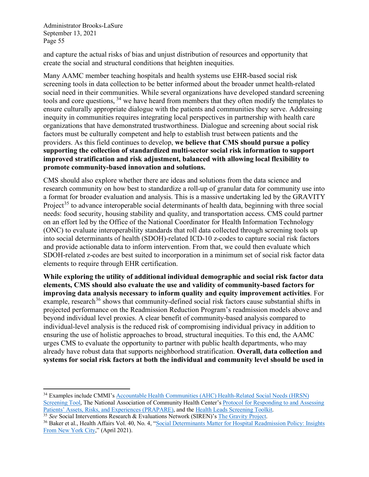and capture the actual risks of bias and unjust distribution of resources and opportunity that create the social and structural conditions that heighten inequities.

Many AAMC member teaching hospitals and health systems use EHR-based social risk screening tools in data collection to be better informed about the broader unmet health-related social need in their communities. While several organizations have developed standard screening tools and core questions, [34](#page-54-0) we have heard from members that they often modify the templates to ensure culturally appropriate dialogue with the patients and communities they serve. Addressing inequity in communities requires integrating local perspectives in partnership with health care organizations that have demonstrated trustworthiness. Dialogue and screening about social risk factors must be culturally competent and help to establish trust between patients and the providers. As this field continues to develop, **we believe that CMS should pursue a policy supporting the collection of standardized multi-sector social risk information to support improved stratification and risk adjustment, balanced with allowing local flexibility to promote community-based innovation and solutions.**

CMS should also explore whether there are ideas and solutions from the data science and research community on how best to standardize a roll-up of granular data for community use into a format for broader evaluation and analysis. This is a massive undertaking led by the GRAVITY Project<sup>[35](#page-54-1)</sup> to advance interoperable social determinants of health data, beginning with three social needs: food security, housing stability and quality, and transportation access. CMS could partner on an effort led by the Office of the National Coordinator for Health Information Technology (ONC) to evaluate interoperability standards that roll data collected through screening tools up into social determinants of health (SDOH)-related ICD-10 z-codes to capture social risk factors and provide actionable data to inform intervention. From that, we could then evaluate which SDOH-related z-codes are best suited to incorporation in a minimum set of social risk factor data elements to require through EHR certification.

**While exploring the utility of additional individual demographic and social risk factor data elements, CMS should also evaluate the use and validity of community-based factors for improving data analysis necessary to inform quality and equity improvement activities**. For example, research<sup>[36](#page-54-2)</sup> shows that community-defined social risk factors cause substantial shifts in projected performance on the Readmission Reduction Program's readmission models above and beyond individual level proxies. A clear benefit of community-based analysis compared to individual-level analysis is the reduced risk of compromising individual privacy in addition to ensuring the use of holistic approaches to broad, structural inequities. To this end, the AAMC urges CMS to evaluate the opportunity to partner with public health departments, who may already have robust data that supports neighborhood stratification. **Overall, data collection and systems for social risk factors at both the individual and community level should be used in** 

<span id="page-54-0"></span><sup>34</sup> Examples include CMMI's [Accountable Health Communities \(AHC\) Health-Related Social Needs \(HRSN\)](https://innovation.cms.gov/files/worksheets/ahcm-screeningtool.pdf)  [Screening Tool](https://innovation.cms.gov/files/worksheets/ahcm-screeningtool.pdf), The National Association of Community Health Center's [Protocol for Responding to and Assessing](https://www.nachc.org/research-and-data/prapare/)  [Patients' Assets, Risks, and Experiences \(PRAPARE\)](https://www.nachc.org/research-and-data/prapare/), and the [Health Leads Screening Toolkit.](https://healthleadsusa.org/resources/the-health-leads-screening-toolkit/)<br><sup>35</sup> See Social Interventions Research & Evaluations Network (SIREN)'s The Gravity Project.

<span id="page-54-1"></span>

<span id="page-54-2"></span><sup>&</sup>lt;sup>36</sup> Baker et al., Health Affairs Vol. 40, No. 4, "Social Determinants Matter for Hospital Readmission Policy: Insights [From New York City,](https://www.healthaffairs.org/doi/abs/10.1377/hlthaff.2020.01742)" (April 2021).